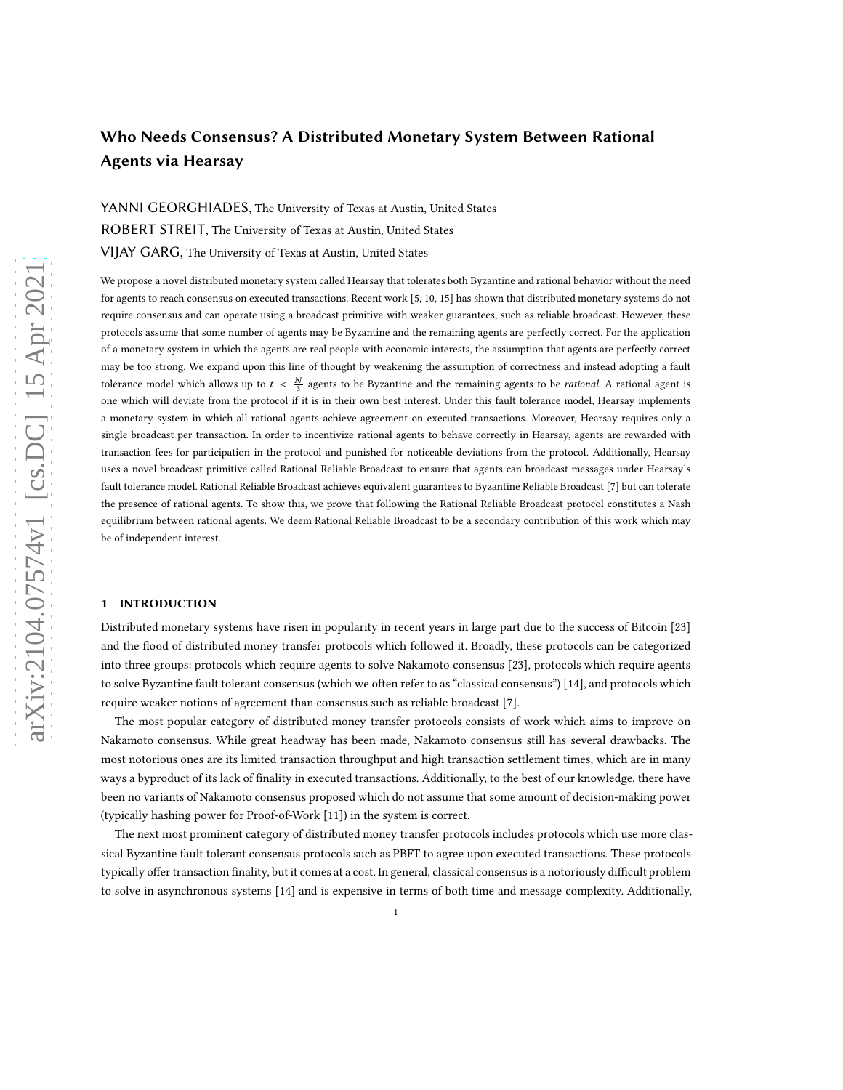YANNI GEORGHIADES, The University of Texas at Austin, United States ROBERT STREIT, The University of Texas at Austin, United States VIJAY GARG, The University of Texas at Austin, United States

We propose a novel distributed monetary system called Hearsay that tolerates both Byzantine and rational behavior without the need for agents to reach consensus on executed transactions. Recent work [\[5,](#page-15-0) [10,](#page-15-1) [15\]](#page-15-2) has shown that distributed monetary systems do not require consensus and can operate using a broadcast primitive with weaker guarantees, such as reliable broadcast. However, these protocols assume that some number of agents may be Byzantine and the remaining agents are perfectly correct. For the application of a monetary system in which the agents are real people with economic interests, the assumption that agents are perfectly correct may be too strong. We expand upon this line of thought by weakening the assumption of correctness and instead adopting a fault tolerance model which allows up to  $t < \frac{N}{3}$  agents to be Byzantine and the remaining agents to be *rational*. A rational agent is one which will deviate from the protocol if it is in their own best interest. Under this fault tolerance model, Hearsay implements a monetary system in which all rational agents achieve agreement on executed transactions. Moreover, Hearsay requires only a single broadcast per transaction. In order to incentivize rational agents to behave correctly in Hearsay, agents are rewarded with transaction fees for participation in the protocol and punished for noticeable deviations from the protocol. Additionally, Hearsay uses a novel broadcast primitive called Rational Reliable Broadcast to ensure that agents can broadcast messages under Hearsay's fault tolerance model. Rational Reliable Broadcast achieves equivalent guarantees to Byzantine Reliable Broadcast [\[7](#page-15-3)] but can tolerate the presence of rational agents. To show this, we prove that following the Rational Reliable Broadcast protocol constitutes a Nash equilibrium between rational agents. We deem Rational Reliable Broadcast to be a secondary contribution of this work which may be of independent interest.

# 1 INTRODUCTION

Distributed monetary systems have risen in popularity in recent years in large part due to the success of Bitcoin [\[23\]](#page-16-0) and the flood of distributed money transfer protocols which followed it. Broadly, these protocols can be categorized into three groups: protocols which require agents to solve Nakamoto consensus [\[23\]](#page-16-0), protocols which require agents to solve Byzantine fault tolerant consensus (which we often refer to as "classical consensus") [\[14\]](#page-15-4), and protocols which require weaker notions of agreement than consensus such as reliable broadcast [\[7\]](#page-15-3).

The most popular category of distributed money transfer protocols consists of work which aims to improve on Nakamoto consensus. While great headway has been made, Nakamoto consensus still has several drawbacks. The most notorious ones are its limited transaction throughput and high transaction settlement times, which are in many ways a byproduct of its lack of finality in executed transactions. Additionally, to the best of our knowledge, there have been no variants of Nakamoto consensus proposed which do not assume that some amount of decision-making power (typically hashing power for Proof-of-Work [\[11](#page-15-5)]) in the system is correct.

The next most prominent category of distributed money transfer protocols includes protocols which use more classical Byzantine fault tolerant consensus protocols such as PBFT to agree upon executed transactions. These protocols typically offer transaction finality, but it comes at a cost. In general, classical consensus is a notoriously difficult problem to solve in asynchronous systems [\[14](#page-15-4)] and is expensive in terms of both time and message complexity. Additionally,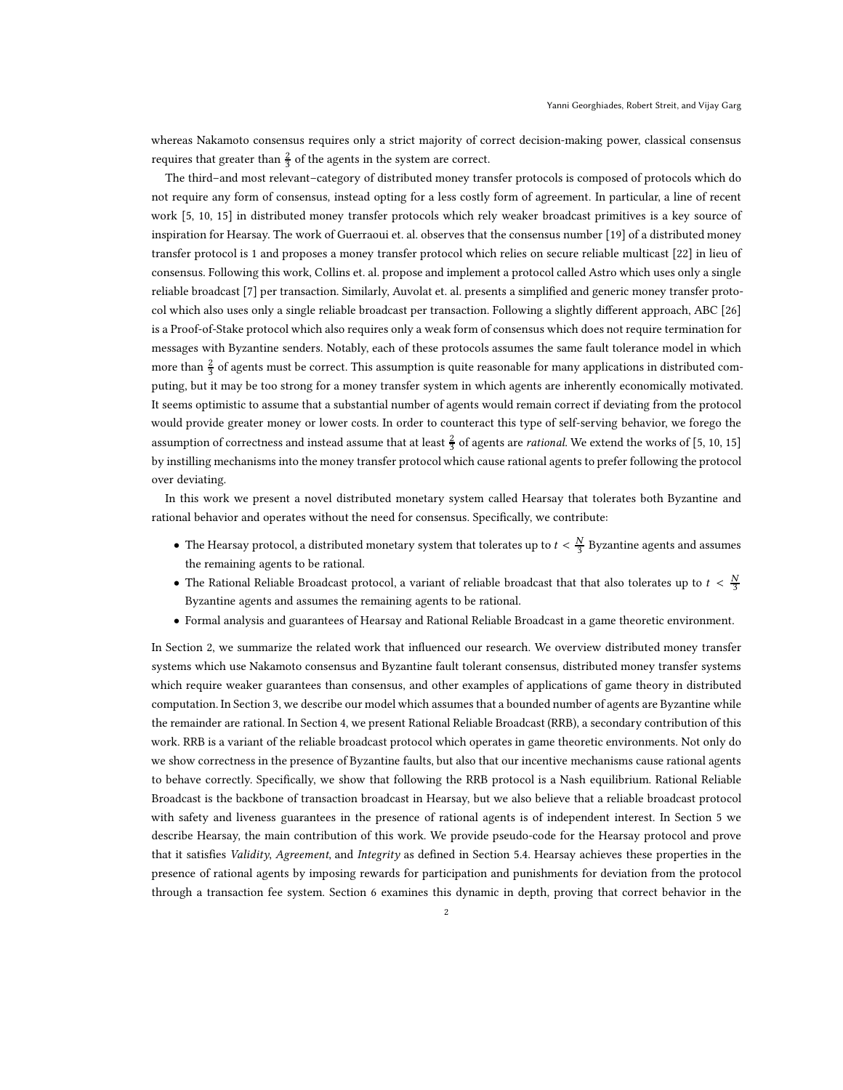whereas Nakamoto consensus requires only a strict majority of correct decision-making power, classical consensus requires that greater than  $\frac{2}{3}$  of the agents in the system are correct.

The third–and most relevant–category of distributed money transfer protocols is composed of protocols which do not require any form of consensus, instead opting for a less costly form of agreement. In particular, a line of recent work [\[5](#page-15-0), [10,](#page-15-1) [15\]](#page-15-2) in distributed money transfer protocols which rely weaker broadcast primitives is a key source of inspiration for Hearsay. The work of Guerraoui et. al. observes that the consensus number [\[19\]](#page-16-1) of a distributed money transfer protocol is 1 and proposes a money transfer protocol which relies on secure reliable multicast [\[22](#page-16-2)] in lieu of consensus. Following this work, Collins et. al. propose and implement a protocol called Astro which uses only a single reliable broadcast [\[7\]](#page-15-3) per transaction. Similarly, Auvolat et. al. presents a simplified and generic money transfer protocol which also uses only a single reliable broadcast per transaction. Following a slightly different approach, ABC [\[26](#page-16-3)] is a Proof-of-Stake protocol which also requires only a weak form of consensus which does not require termination for messages with Byzantine senders. Notably, each of these protocols assumes the same fault tolerance model in which more than  $\frac{2}{3}$  of agents must be correct. This assumption is quite reasonable for many applications in distributed computing, but it may be too strong for a money transfer system in which agents are inherently economically motivated. It seems optimistic to assume that a substantial number of agents would remain correct if deviating from the protocol would provide greater money or lower costs. In order to counteract this type of self-serving behavior, we forego the assumption of correctness and instead assume that at least  $\frac{2}{3}$  of agents are *rational*. We extend the works of [\[5,](#page-15-0) [10,](#page-15-1) [15](#page-15-2)] by instilling mechanisms into the money transfer protocol which cause rational agents to prefer following the protocol over deviating.

In this work we present a novel distributed monetary system called Hearsay that tolerates both Byzantine and rational behavior and operates without the need for consensus. Specifically, we contribute:

- The Hearsay protocol, a distributed monetary system that tolerates up to  $t < \frac{N}{3}$  Byzantine agents and assumes the remaining agents to be rational.
- The Rational Reliable Broadcast protocol, a variant of reliable broadcast that that also tolerates up to  $t < \frac{N}{3}$ Byzantine agents and assumes the remaining agents to be rational.
- Formal analysis and guarantees of Hearsay and Rational Reliable Broadcast in a game theoretic environment.

In Section [2,](#page-2-0) we summarize the related work that influenced our research. We overview distributed money transfer systems which use Nakamoto consensus and Byzantine fault tolerant consensus, distributed money transfer systems which require weaker guarantees than consensus, and other examples of applications of game theory in distributed computation. In Section [3,](#page-3-0) we describe our model which assumes that a bounded number of agents are Byzantine while the remainder are rational. In Section [4,](#page-3-1) we present Rational Reliable Broadcast (RRB), a secondary contribution of this work. RRB is a variant of the reliable broadcast protocol which operates in game theoretic environments. Not only do we show correctness in the presence of Byzantine faults, but also that our incentive mechanisms cause rational agents to behave correctly. Specifically, we show that following the RRB protocol is a Nash equilibrium. Rational Reliable Broadcast is the backbone of transaction broadcast in Hearsay, but we also believe that a reliable broadcast protocol with safety and liveness guarantees in the presence of rational agents is of independent interest. In Section [5](#page-7-0) we describe Hearsay, the main contribution of this work. We provide pseudo-code for the Hearsay protocol and prove that it satisfies Validity, Agreement, and Integrity as defined in Section [5.4.](#page-10-0) Hearsay achieves these properties in the presence of rational agents by imposing rewards for participation and punishments for deviation from the protocol through a transaction fee system. Section [6](#page-12-0) examines this dynamic in depth, proving that correct behavior in the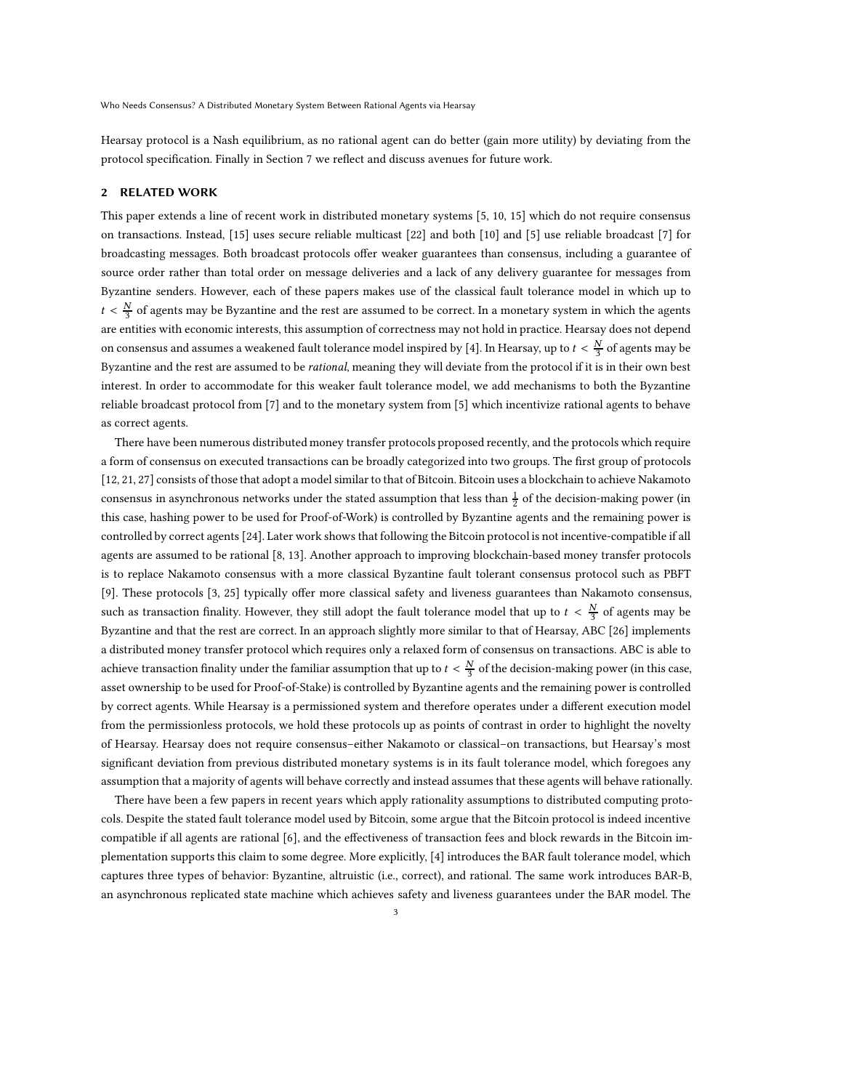Hearsay protocol is a Nash equilibrium, as no rational agent can do better (gain more utility) by deviating from the protocol specification. Finally in Section [7](#page-14-0) we reflect and discuss avenues for future work.

#### <span id="page-2-0"></span>2 RELATED WORK

This paper extends a line of recent work in distributed monetary systems [\[5](#page-15-0), [10](#page-15-1), [15\]](#page-15-2) which do not require consensus on transactions. Instead, [\[15\]](#page-15-2) uses secure reliable multicast [\[22\]](#page-16-2) and both [\[10\]](#page-15-1) and [\[5](#page-15-0)] use reliable broadcast [\[7\]](#page-15-3) for broadcasting messages. Both broadcast protocols offer weaker guarantees than consensus, including a guarantee of source order rather than total order on message deliveries and a lack of any delivery guarantee for messages from Byzantine senders. However, each of these papers makes use of the classical fault tolerance model in which up to  $t < \frac{N}{3}$  of agents may be Byzantine and the rest are assumed to be correct. In a monetary system in which the agents are entities with economic interests, this assumption of correctness may not hold in practice. Hearsay does not depend on consensus and assumes a weakened fault tolerance model inspired by [\[4](#page-15-6)]. In Hearsay, up to  $t < \frac{N}{3}$  of agents may be Byzantine and the rest are assumed to be rational, meaning they will deviate from the protocol if it is in their own best interest. In order to accommodate for this weaker fault tolerance model, we add mechanisms to both the Byzantine reliable broadcast protocol from [\[7\]](#page-15-3) and to the monetary system from [\[5](#page-15-0)] which incentivize rational agents to behave as correct agents.

There have been numerous distributed money transfer protocols proposed recently, and the protocols which require a form of consensus on executed transactions can be broadly categorized into two groups. The first group of protocols [\[12,](#page-15-7) [21,](#page-16-4) [27\]](#page-16-5) consists of those that adopt a model similar to that of Bitcoin. Bitcoin uses a blockchain to achieve Nakamoto consensus in asynchronous networks under the stated assumption that less than  $\frac{1}{2}$  of the decision-making power (in this case, hashing power to be used for Proof-of-Work) is controlled by Byzantine agents and the remaining power is controlled by correct agents [\[24](#page-16-6)]. Later work shows that following the Bitcoin protocol is not incentive-compatible if all agents are assumed to be rational [\[8](#page-15-8), [13\]](#page-15-9). Another approach to improving blockchain-based money transfer protocols is to replace Nakamoto consensus with a more classical Byzantine fault tolerant consensus protocol such as PBFT [\[9\]](#page-15-10). These protocols [\[3,](#page-15-11) [25](#page-16-7)] typically offer more classical safety and liveness guarantees than Nakamoto consensus, such as transaction finality. However, they still adopt the fault tolerance model that up to  $t < \frac{N}{3}$  of agents may be Byzantine and that the rest are correct. In an approach slightly more similar to that of Hearsay, ABC [\[26\]](#page-16-3) implements a distributed money transfer protocol which requires only a relaxed form of consensus on transactions. ABC is able to achieve transaction finality under the familiar assumption that up to  $t < \frac{N}{3}$  of the decision-making power (in this case, asset ownership to be used for Proof-of-Stake) is controlled by Byzantine agents and the remaining power is controlled by correct agents. While Hearsay is a permissioned system and therefore operates under a different execution model from the permissionless protocols, we hold these protocols up as points of contrast in order to highlight the novelty of Hearsay. Hearsay does not require consensus–either Nakamoto or classical–on transactions, but Hearsay's most significant deviation from previous distributed monetary systems is in its fault tolerance model, which foregoes any assumption that a majority of agents will behave correctly and instead assumes that these agents will behave rationally.

There have been a few papers in recent years which apply rationality assumptions to distributed computing protocols. Despite the stated fault tolerance model used by Bitcoin, some argue that the Bitcoin protocol is indeed incentive compatible if all agents are rational [\[6\]](#page-15-12), and the effectiveness of transaction fees and block rewards in the Bitcoin implementation supports this claim to some degree. More explicitly, [\[4\]](#page-15-6) introduces the BAR fault tolerance model, which captures three types of behavior: Byzantine, altruistic (i.e., correct), and rational. The same work introduces BAR-B, an asynchronous replicated state machine which achieves safety and liveness guarantees under the BAR model. The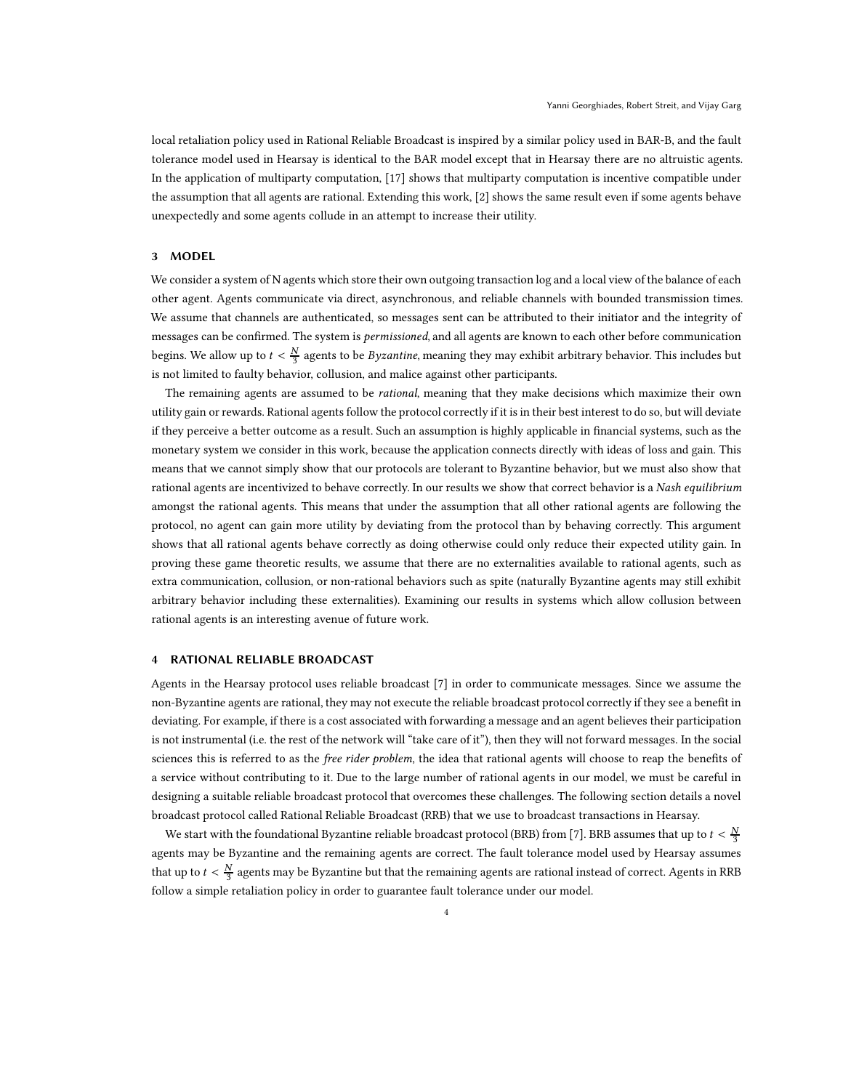local retaliation policy used in Rational Reliable Broadcast is inspired by a similar policy used in BAR-B, and the fault tolerance model used in Hearsay is identical to the BAR model except that in Hearsay there are no altruistic agents. In the application of multiparty computation, [\[17](#page-15-13)] shows that multiparty computation is incentive compatible under the assumption that all agents are rational. Extending this work, [\[2](#page-15-14)] shows the same result even if some agents behave unexpectedly and some agents collude in an attempt to increase their utility.

# <span id="page-3-0"></span>3 MODEL

We consider a system of N agents which store their own outgoing transaction log and a local view of the balance of each other agent. Agents communicate via direct, asynchronous, and reliable channels with bounded transmission times. We assume that channels are authenticated, so messages sent can be attributed to their initiator and the integrity of messages can be confirmed. The system is *permissioned*, and all agents are known to each other before communication begins. We allow up to  $t < \frac{N}{3}$  agents to be *Byzantine*, meaning they may exhibit arbitrary behavior. This includes but is not limited to faulty behavior, collusion, and malice against other participants.

The remaining agents are assumed to be *rational*, meaning that they make decisions which maximize their own utility gain or rewards. Rational agents follow the protocol correctly if it is in their best interest to do so, but will deviate if they perceive a better outcome as a result. Such an assumption is highly applicable in financial systems, such as the monetary system we consider in this work, because the application connects directly with ideas of loss and gain. This means that we cannot simply show that our protocols are tolerant to Byzantine behavior, but we must also show that rational agents are incentivized to behave correctly. In our results we show that correct behavior is a Nash equilibrium amongst the rational agents. This means that under the assumption that all other rational agents are following the protocol, no agent can gain more utility by deviating from the protocol than by behaving correctly. This argument shows that all rational agents behave correctly as doing otherwise could only reduce their expected utility gain. In proving these game theoretic results, we assume that there are no externalities available to rational agents, such as extra communication, collusion, or non-rational behaviors such as spite (naturally Byzantine agents may still exhibit arbitrary behavior including these externalities). Examining our results in systems which allow collusion between rational agents is an interesting avenue of future work.

#### <span id="page-3-1"></span>4 RATIONAL RELIABLE BROADCAST

Agents in the Hearsay protocol uses reliable broadcast [\[7](#page-15-3)] in order to communicate messages. Since we assume the non-Byzantine agents are rational, they may not execute the reliable broadcast protocol correctly if they see a benefit in deviating. For example, if there is a cost associated with forwarding a message and an agent believes their participation is not instrumental (i.e. the rest of the network will "take care of it"), then they will not forward messages. In the social sciences this is referred to as the *free rider problem*, the idea that rational agents will choose to reap the benefits of a service without contributing to it. Due to the large number of rational agents in our model, we must be careful in designing a suitable reliable broadcast protocol that overcomes these challenges. The following section details a novel broadcast protocol called Rational Reliable Broadcast (RRB) that we use to broadcast transactions in Hearsay.

We start with the foundational Byzantine reliable broadcast protocol (BRB) from [\[7\]](#page-15-3). BRB assumes that up to  $t < \frac{N}{3}$ agents may be Byzantine and the remaining agents are correct. The fault tolerance model used by Hearsay assumes that up to  $t < \frac{N}{3}$  agents may be Byzantine but that the remaining agents are rational instead of correct. Agents in RRB follow a simple retaliation policy in order to guarantee fault tolerance under our model.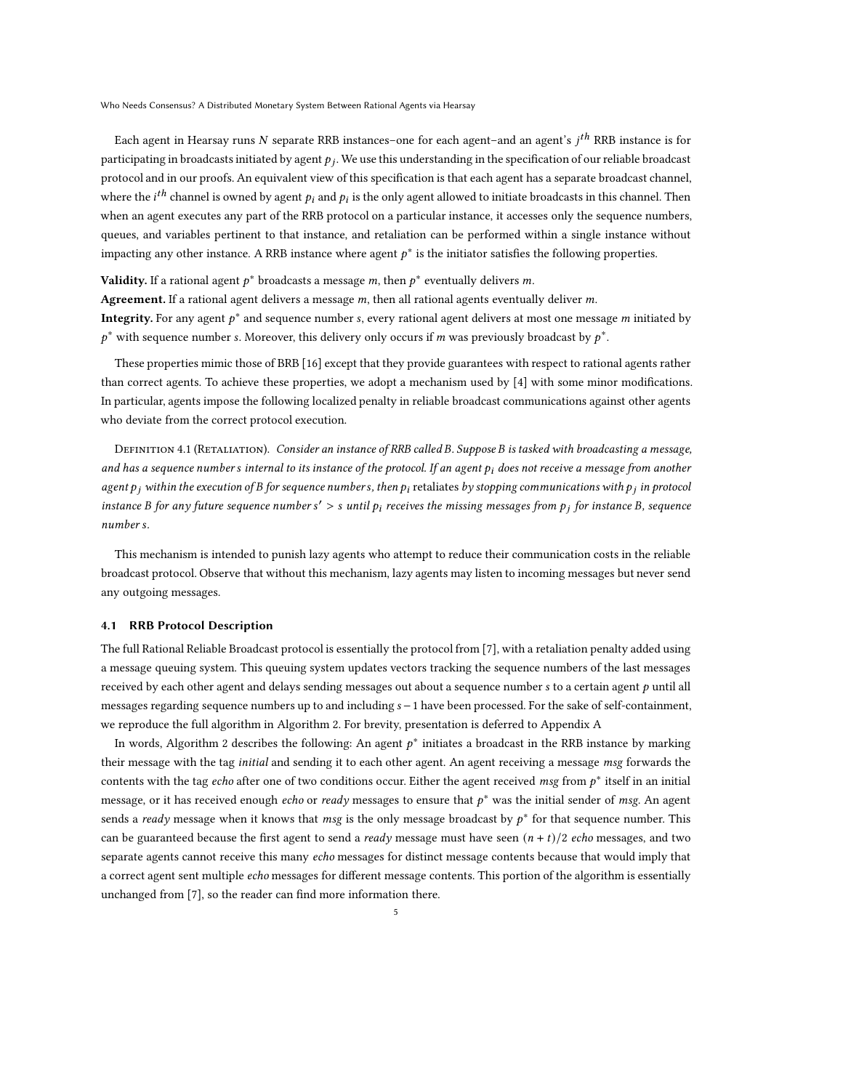Each agent in Hearsay runs  $N$  separate RRB instances–one for each agent–and an agent's  $j^{th}$  RRB instance is for participating in broadcasts initiated by agent  $p_j.$  We use this understanding in the specification of our reliable broadcast protocol and in our proofs. An equivalent view of this specification is that each agent has a separate broadcast channel, where the  $i^{th}$  channel is owned by agent  $p_i$  and  $p_i$  is the only agent allowed to initiate broadcasts in this channel. Then when an agent executes any part of the RRB protocol on a particular instance, it accesses only the sequence numbers, queues, and variables pertinent to that instance, and retaliation can be performed within a single instance without impacting any other instance. A RRB instance where agent  $p^*$  is the initiator satisfies the following properties.

Validity. If a rational agent  $p^*$  broadcasts a message m, then  $p^*$  eventually delivers m.

Agreement. If a rational agent delivers a message  $m$ , then all rational agents eventually deliver  $m$ .

Integrity. For any agent  $p^*$  and sequence number  $s$ , every rational agent delivers at most one message  $m$  initiated by  $p^*$  with sequence number s. Moreover, this delivery only occurs if m was previously broadcast by  $p^*$ .

These properties mimic those of BRB [\[16\]](#page-15-15) except that they provide guarantees with respect to rational agents rather than correct agents. To achieve these properties, we adopt a mechanism used by [\[4](#page-15-6)] with some minor modifications. In particular, agents impose the following localized penalty in reliable broadcast communications against other agents who deviate from the correct protocol execution.

<span id="page-4-0"></span>DEFINITION 4.1 (RETALIATION). Consider an instance of RRB called B. Suppose B is tasked with broadcasting a message, and has a sequence number s internal to its instance of the protocol. If an agent  $p_i$  does not receive a message from another agent  $p_j$  within the execution of B for sequence numbers, then  $p_i$  retaliates by stopping communications with  $p_j$  in protocol instance B for any future sequence number s' > s until  $p_i$  receives the missing messages from  $p_j$  for instance B, sequence number s.

This mechanism is intended to punish lazy agents who attempt to reduce their communication costs in the reliable broadcast protocol. Observe that without this mechanism, lazy agents may listen to incoming messages but never send any outgoing messages.

#### 4.1 RRB Protocol Description

The full Rational Reliable Broadcast protocol is essentially the protocol from [\[7\]](#page-15-3), with a retaliation penalty added using a message queuing system. This queuing system updates vectors tracking the sequence numbers of the last messages received by each other agent and delays sending messages out about a sequence number s to a certain agent  $p$  until all messages regarding sequence numbers up to and including  $s - 1$  have been processed. For the sake of self-containment, we reproduce the full algorithm in Algorithm [2.](#page-17-0) For brevity, presentation is deferred to Appendix [A](#page-17-1)

In words, Algorithm [2](#page-17-0) describes the following: An agent  $p^*$  initiates a broadcast in the RRB instance by marking their message with the tag initial and sending it to each other agent. An agent receiving a message msg forwards the contents with the tag *echo* after one of two conditions occur. Either the agent received msg from  $p^*$  itself in an initial message, or it has received enough *echo* or *ready* messages to ensure that  $p^*$  was the initial sender of *msg.* An agent sends a *ready* message when it knows that msg is the only message broadcast by  $p^*$  for that sequence number. This can be guaranteed because the first agent to send a *ready* message must have seen  $(n + t)/2$  *echo* messages, and two separate agents cannot receive this many echo messages for distinct message contents because that would imply that a correct agent sent multiple echo messages for different message contents. This portion of the algorithm is essentially unchanged from [\[7](#page-15-3)], so the reader can find more information there.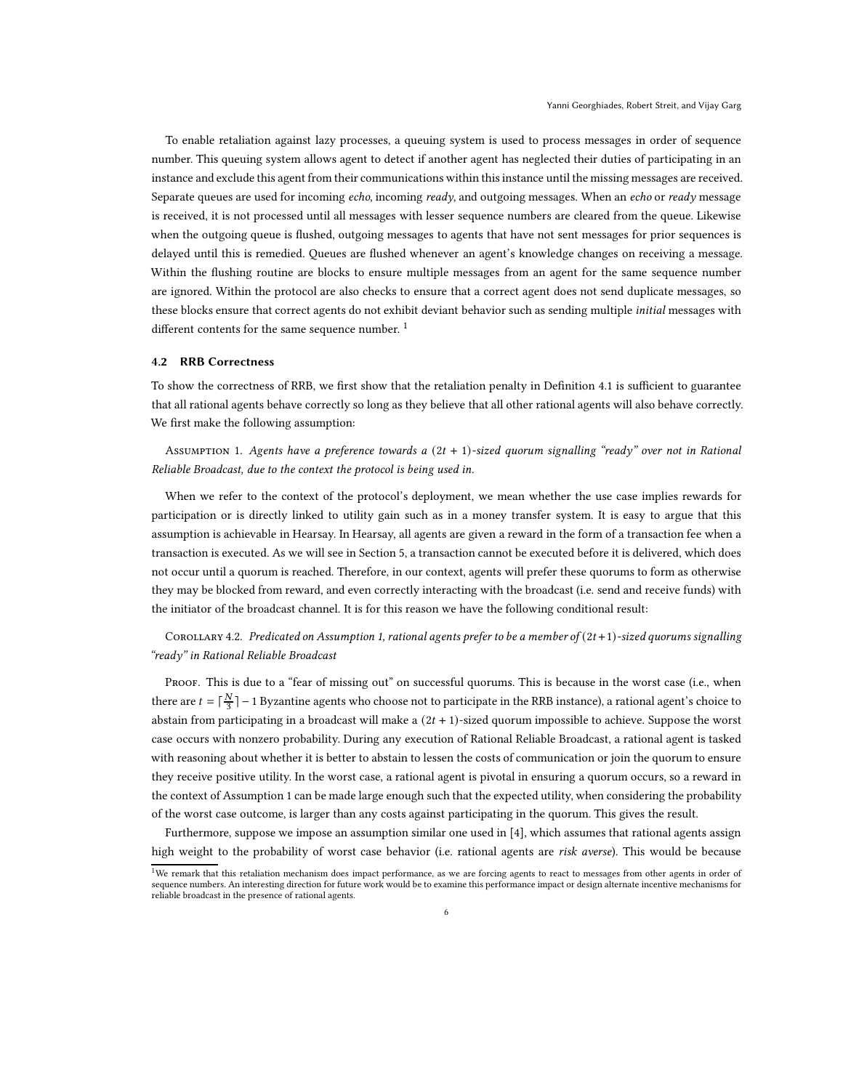To enable retaliation against lazy processes, a queuing system is used to process messages in order of sequence number. This queuing system allows agent to detect if another agent has neglected their duties of participating in an instance and exclude this agent from their communications within this instance until the missing messages are received. Separate queues are used for incoming echo, incoming ready, and outgoing messages. When an echo or ready message is received, it is not processed until all messages with lesser sequence numbers are cleared from the queue. Likewise when the outgoing queue is flushed, outgoing messages to agents that have not sent messages for prior sequences is delayed until this is remedied. Queues are flushed whenever an agent's knowledge changes on receiving a message. Within the flushing routine are blocks to ensure multiple messages from an agent for the same sequence number are ignored. Within the protocol are also checks to ensure that a correct agent does not send duplicate messages, so these blocks ensure that correct agents do not exhibit deviant behavior such as sending multiple *initial* messages with different contents for the same sequence number.  $<sup>1</sup>$  $<sup>1</sup>$  $<sup>1</sup>$ </sup>

#### 4.2 RRB Correctness

To show the correctness of RRB, we first show that the retaliation penalty in Definition [4.1](#page-4-0) is sufficient to guarantee that all rational agents behave correctly so long as they believe that all other rational agents will also behave correctly. We first make the following assumption:

# <span id="page-5-1"></span>Assumption 1. Agents have a preference towards a  $(2t + 1)$ -sized quorum signalling "ready" over not in Rational Reliable Broadcast, due to the context the protocol is being used in.

When we refer to the context of the protocol's deployment, we mean whether the use case implies rewards for participation or is directly linked to utility gain such as in a money transfer system. It is easy to argue that this assumption is achievable in Hearsay. In Hearsay, all agents are given a reward in the form of a transaction fee when a transaction is executed. As we will see in Section [5,](#page-7-0) a transaction cannot be executed before it is delivered, which does not occur until a quorum is reached. Therefore, in our context, agents will prefer these quorums to form as otherwise they may be blocked from reward, and even correctly interacting with the broadcast (i.e. send and receive funds) with the initiator of the broadcast channel. It is for this reason we have the following conditional result:

# <span id="page-5-2"></span>COROLLARY 4.2. Predicated on Assumption [1,](#page-5-1) rational agents prefer to be a member of  $(2t+1)$ -sized quorums signalling "ready" in Rational Reliable Broadcast

PROOF. This is due to a "fear of missing out" on successful quorums. This is because in the worst case (i.e., when there are  $t = \lceil \frac{N}{3} \rceil - 1$  Byzantine agents who choose not to participate in the RRB instance), a rational agent's choice to abstain from participating in a broadcast will make a  $(2t + 1)$ -sized quorum impossible to achieve. Suppose the worst case occurs with nonzero probability. During any execution of Rational Reliable Broadcast, a rational agent is tasked with reasoning about whether it is better to abstain to lessen the costs of communication or join the quorum to ensure they receive positive utility. In the worst case, a rational agent is pivotal in ensuring a quorum occurs, so a reward in the context of Assumption [1](#page-5-1) can be made large enough such that the expected utility, when considering the probability of the worst case outcome, is larger than any costs against participating in the quorum. This gives the result.

Furthermore, suppose we impose an assumption similar one used in [\[4\]](#page-15-6), which assumes that rational agents assign high weight to the probability of worst case behavior (i.e. rational agents are risk averse). This would be because

<span id="page-5-0"></span><sup>&</sup>lt;sup>1</sup>We remark that this retaliation mechanism does impact performance, as we are forcing agents to react to messages from other agents in order of sequence numbers. An interesting direction for future work would be to examine this performance impact or design alternate incentive mechanisms for reliable broadcast in the presence of rational agents.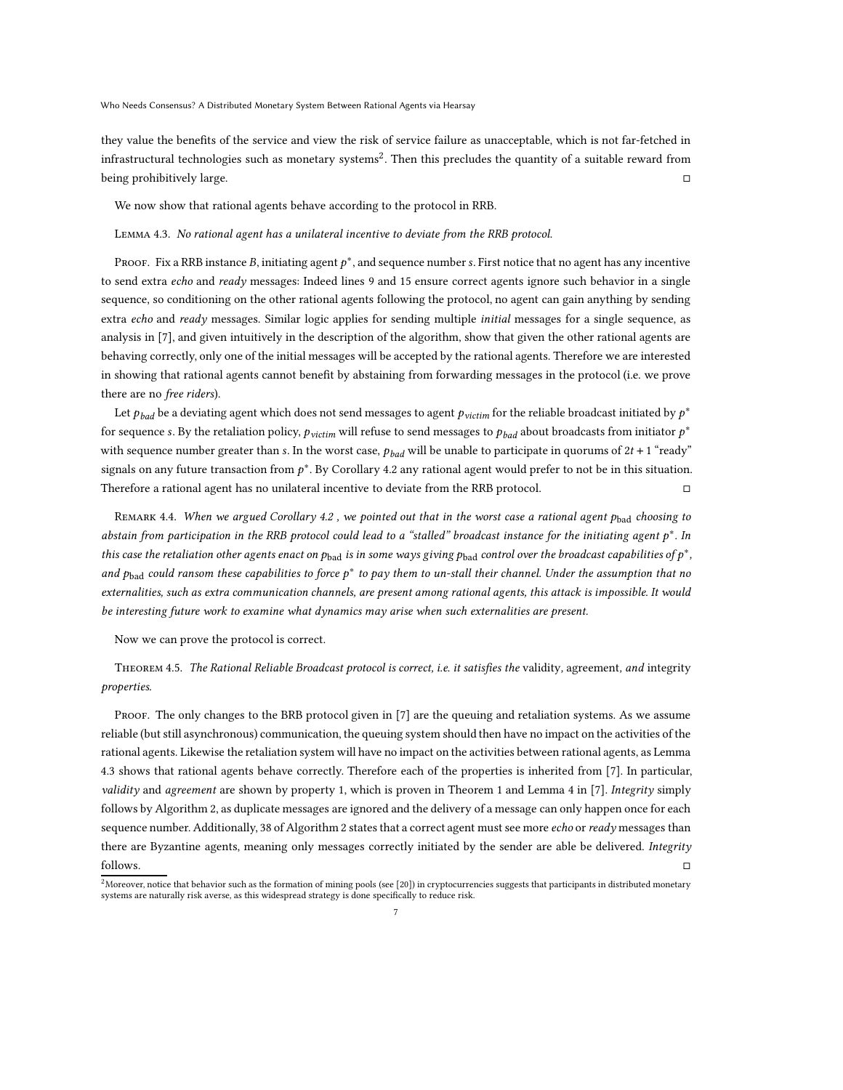they value the benefits of the service and view the risk of service failure as unacceptable, which is not far-fetched in infrastructural technologies such as monetary systems<sup>[2](#page-6-0)</sup>. Then this precludes the quantity of a suitable reward from being prohibitively large.

We now show that rational agents behave according to the protocol in RRB.

<span id="page-6-1"></span>Lemma 4.3. No rational agent has a unilateral incentive to deviate from the RRB protocol.

Proof. Fix a RRB instance B, initiating agent  $p^*$ , and sequence number s. First notice that no agent has any incentive to send extra echo and ready messages: Indeed lines [9](#page-17-2) and [15](#page-17-3) ensure correct agents ignore such behavior in a single sequence, so conditioning on the other rational agents following the protocol, no agent can gain anything by sending extra echo and ready messages. Similar logic applies for sending multiple initial messages for a single sequence, as analysis in [\[7\]](#page-15-3), and given intuitively in the description of the algorithm, show that given the other rational agents are behaving correctly, only one of the initial messages will be accepted by the rational agents. Therefore we are interested in showing that rational agents cannot benefit by abstaining from forwarding messages in the protocol (i.e. we prove there are no *free riders*).

Let  $p_{\textit{bad}}$  be a deviating agent which does not send messages to agent  $p_{\textit{victim}}$  for the reliable broadcast initiated by  $p^*$ for sequence s. By the retaliation policy,  $p_{\text{victim}}$  will refuse to send messages to  $p_{\text{bad}}$  about broadcasts from initiator  $p^*$ with sequence number greater than s. In the worst case,  $p_{bad}$  will be unable to participate in quorums of  $2t + 1$  "ready" signals on any future transaction from  $p^*$ . By Corollary [4.2](#page-5-2) any rational agent would prefer to not be in this situation. Therefore a rational agent has no unilateral incentive to deviate from the RRB protocol.

REMARK 4.4. When we argued Corollary [4.2](#page-5-2), we pointed out that in the worst case a rational agent  $p_{bad}$  choosing to abstain from participation in the RRB protocol could lead to a "stalled" broadcast instance for the initiating agent  $p^*$ . In this case the retaliation other agents enact on  $p_{\rm bad}$  is in some ways giving  $p_{\rm bad}$  control over the broadcast capabilities of  $p^*$ , and  $p_{bad}$  could ransom these capabilities to force  $p^*$  to pay them to un-stall their channel. Under the assumption that no externalities, such as extra communication channels, are present among rational agents, this attack is impossible. It would be interesting future work to examine what dynamics may arise when such externalities are present.

Now we can prove the protocol is correct.

THEOREM 4.5. The Rational Reliable Broadcast protocol is correct, i.e. it satisfies the validity, agreement, and integrity properties.

Proof. The only changes to the BRB protocol given in [\[7\]](#page-15-3) are the queuing and retaliation systems. As we assume reliable (but still asynchronous) communication, the queuing system should then have no impact on the activities of the rational agents. Likewise the retaliation system will have no impact on the activities between rational agents, as Lemma [4.3](#page-6-1) shows that rational agents behave correctly. Therefore each of the properties is inherited from [\[7\]](#page-15-3). In particular, validity and agreement are shown by property 1, which is proven in Theorem 1 and Lemma 4 in [\[7](#page-15-3)]. Integrity simply follows by Algorithm [2,](#page-17-0) as duplicate messages are ignored and the delivery of a message can only happen once for each sequence number. Additionally, [38](#page-17-4) of Algorithm [2](#page-17-0) states that a correct agent must see more echo or ready messages than there are Byzantine agents, meaning only messages correctly initiated by the sender are able be delivered. Integrity  $\Box$  follows.

<span id="page-6-0"></span> $^2$ Moreover, notice that behavior such as the formation of mining pools (see [\[20\]](#page-16-8)) in cryptocurrencies suggests that participants in distributed monetary systems are naturally risk averse, as this widespread strategy is done specifically to reduce risk.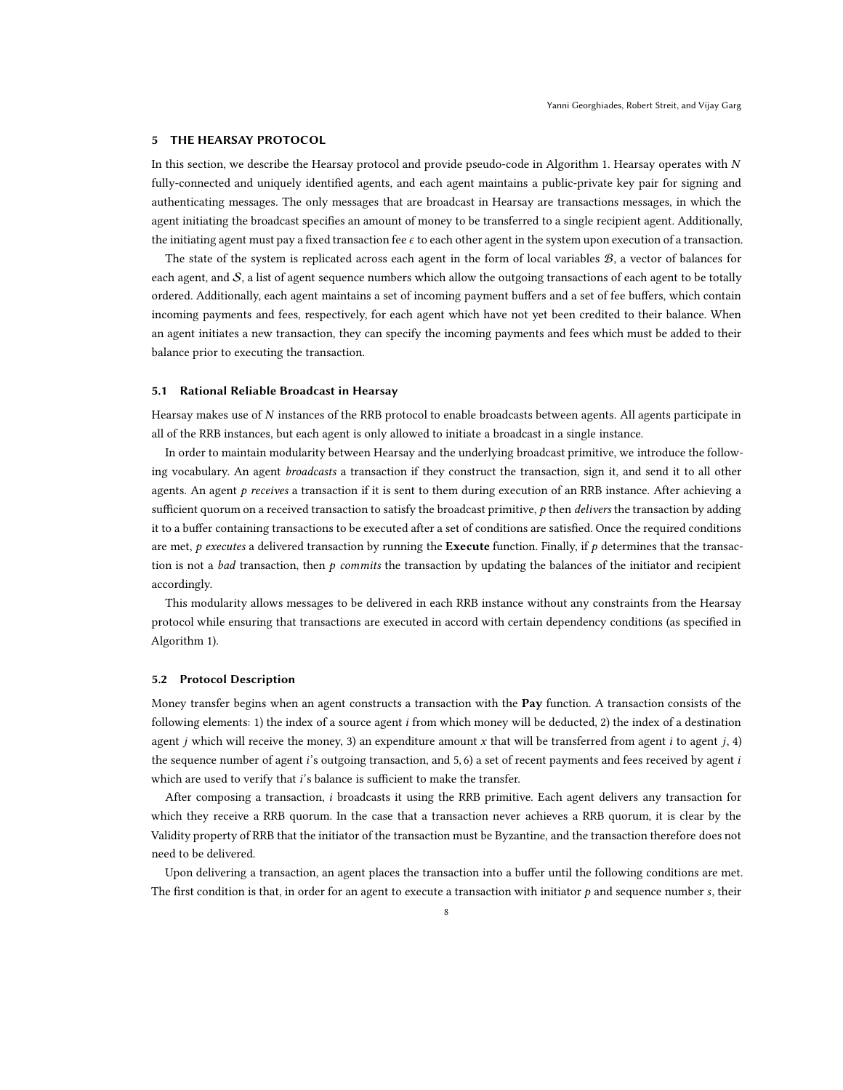#### <span id="page-7-0"></span>5 THE HEARSAY PROTOCOL

In this section, we describe the Hearsay protocol and provide pseudo-code in Algorithm [1.](#page-9-0) Hearsay operates with  $N$ fully-connected and uniquely identified agents, and each agent maintains a public-private key pair for signing and authenticating messages. The only messages that are broadcast in Hearsay are transactions messages, in which the agent initiating the broadcast specifies an amount of money to be transferred to a single recipient agent. Additionally, the initiating agent must pay a fixed transaction fee  $\epsilon$  to each other agent in the system upon execution of a transaction.

The state of the system is replicated across each agent in the form of local variables  $B$ , a vector of balances for each agent, and  $S$ , a list of agent sequence numbers which allow the outgoing transactions of each agent to be totally ordered. Additionally, each agent maintains a set of incoming payment buffers and a set of fee buffers, which contain incoming payments and fees, respectively, for each agent which have not yet been credited to their balance. When an agent initiates a new transaction, they can specify the incoming payments and fees which must be added to their balance prior to executing the transaction.

#### 5.1 Rational Reliable Broadcast in Hearsay

Hearsay makes use of  $N$  instances of the RRB protocol to enable broadcasts between agents. All agents participate in all of the RRB instances, but each agent is only allowed to initiate a broadcast in a single instance.

In order to maintain modularity between Hearsay and the underlying broadcast primitive, we introduce the following vocabulary. An agent *broadcasts* a transaction if they construct the transaction, sign it, and send it to all other agents. An agent  $p$  receives a transaction if it is sent to them during execution of an RRB instance. After achieving a sufficient quorum on a received transaction to satisfy the broadcast primitive,  $p$  then *delivers* the transaction by adding it to a buffer containing transactions to be executed after a set of conditions are satisfied. Once the required conditions are met,  $p$  executes a delivered transaction by running the **Execute** function. Finally, if  $p$  determines that the transaction is not a *bad* transaction, then  $p$  commits the transaction by updating the balances of the initiator and recipient accordingly.

This modularity allows messages to be delivered in each RRB instance without any constraints from the Hearsay protocol while ensuring that transactions are executed in accord with certain dependency conditions (as specified in Algorithm [1\)](#page-9-0).

#### 5.2 Protocol Description

Money transfer begins when an agent constructs a transaction with the Pay function. A transaction consists of the following elements: 1) the index of a source agent  $i$  from which money will be deducted, 2) the index of a destination agent *j* which will receive the money, 3) an expenditure amount x that will be transferred from agent *i* to agent *j*, 4) the sequence number of agent  $i$ 's outgoing transaction, and  $5, 6$ ) a set of recent payments and fees received by agent  $i$ which are used to verify that *i*'s balance is sufficient to make the transfer.

After composing a transaction, *i* broadcasts it using the RRB primitive. Each agent delivers any transaction for which they receive a RRB quorum. In the case that a transaction never achieves a RRB quorum, it is clear by the Validity property of RRB that the initiator of the transaction must be Byzantine, and the transaction therefore does not need to be delivered.

Upon delivering a transaction, an agent places the transaction into a buffer until the following conditions are met. The first condition is that, in order for an agent to execute a transaction with initiator  $p$  and sequence number  $s$ , their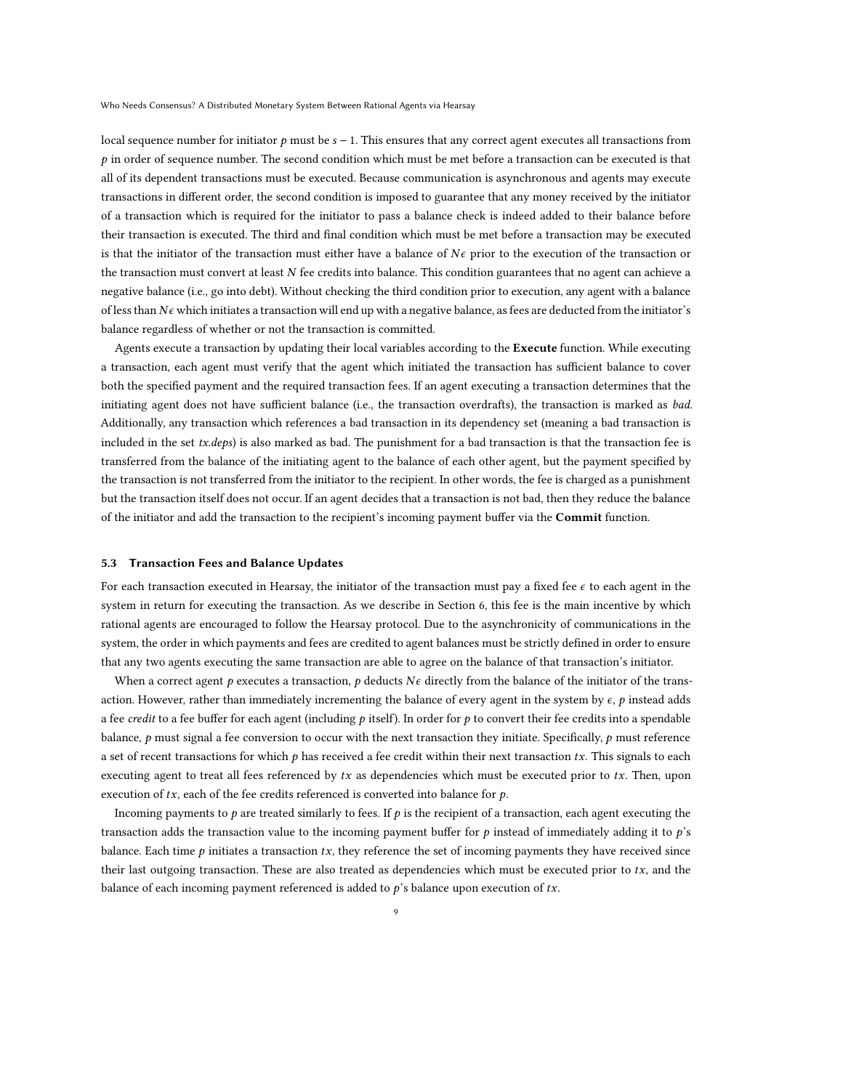local sequence number for initiator  $p$  must be  $s - 1$ . This ensures that any correct agent executes all transactions from  $p$  in order of sequence number. The second condition which must be met before a transaction can be executed is that all of its dependent transactions must be executed. Because communication is asynchronous and agents may execute transactions in different order, the second condition is imposed to guarantee that any money received by the initiator of a transaction which is required for the initiator to pass a balance check is indeed added to their balance before their transaction is executed. The third and final condition which must be met before a transaction may be executed is that the initiator of the transaction must either have a balance of  $N\epsilon$  prior to the execution of the transaction or the transaction must convert at least  $N$  fee credits into balance. This condition guarantees that no agent can achieve a negative balance (i.e., go into debt). Without checking the third condition prior to execution, any agent with a balance of less than  $N\epsilon$  which initiates a transaction will end up with a negative balance, as fees are deducted from the initiator's balance regardless of whether or not the transaction is committed.

Agents execute a transaction by updating their local variables according to the Execute function. While executing a transaction, each agent must verify that the agent which initiated the transaction has sufficient balance to cover both the specified payment and the required transaction fees. If an agent executing a transaction determines that the initiating agent does not have sufficient balance (i.e., the transaction overdrafts), the transaction is marked as bad. Additionally, any transaction which references a bad transaction in its dependency set (meaning a bad transaction is included in the set  $tx \cdot degs$ ) is also marked as bad. The punishment for a bad transaction is that the transaction fee is transferred from the balance of the initiating agent to the balance of each other agent, but the payment specified by the transaction is not transferred from the initiator to the recipient. In other words, the fee is charged as a punishment but the transaction itself does not occur. If an agent decides that a transaction is not bad, then they reduce the balance of the initiator and add the transaction to the recipient's incoming payment buffer via the Commit function.

#### 5.3 Transaction Fees and Balance Updates

For each transaction executed in Hearsay, the initiator of the transaction must pay a fixed fee  $\epsilon$  to each agent in the system in return for executing the transaction. As we describe in Section [6,](#page-12-0) this fee is the main incentive by which rational agents are encouraged to follow the Hearsay protocol. Due to the asynchronicity of communications in the system, the order in which payments and fees are credited to agent balances must be strictly defined in order to ensure that any two agents executing the same transaction are able to agree on the balance of that transaction's initiator.

When a correct agent  $p$  executes a transaction,  $p$  deducts  $N\epsilon$  directly from the balance of the initiator of the transaction. However, rather than immediately incrementing the balance of every agent in the system by  $\epsilon$ , p instead adds a fee credit to a fee buffer for each agent (including  $p$  itself). In order for  $p$  to convert their fee credits into a spendable balance,  $p$  must signal a fee conversion to occur with the next transaction they initiate. Specifically,  $p$  must reference a set of recent transactions for which  $p$  has received a fee credit within their next transaction  $tx$ . This signals to each executing agent to treat all fees referenced by  $tx$  as dependencies which must be executed prior to  $tx$ . Then, upon execution of  $tx$ , each of the fee credits referenced is converted into balance for  $p$ .

Incoming payments to  $p$  are treated similarly to fees. If  $p$  is the recipient of a transaction, each agent executing the transaction adds the transaction value to the incoming payment buffer for  $p$  instead of immediately adding it to  $p$ 's balance. Each time  $p$  initiates a transaction  $tx$ , they reference the set of incoming payments they have received since their last outgoing transaction. These are also treated as dependencies which must be executed prior to  $tx$ , and the balance of each incoming payment referenced is added to  $p$ 's balance upon execution of  $tx$ .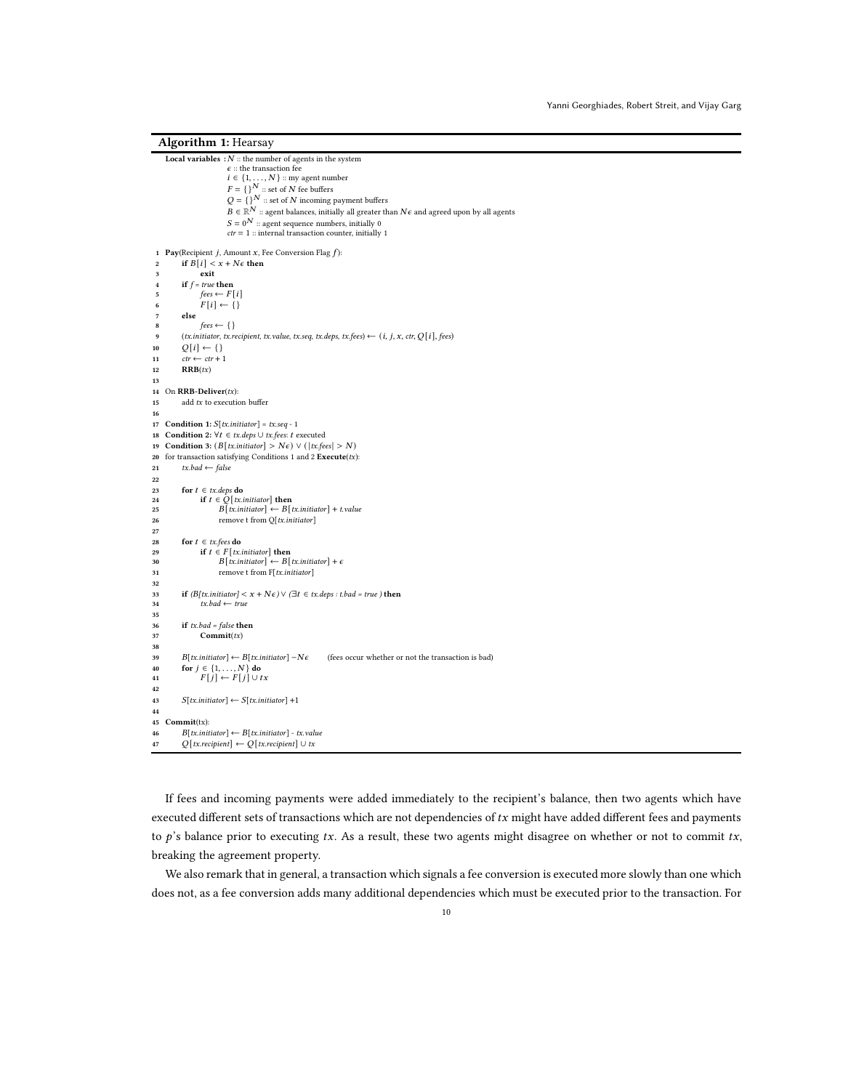```
Algorithm 1: Hearsay
     Local variables :N :: the number of agents in the system
                            \epsilon :: the transaction fee
                            i \in \{1, \ldots, N\} :: my agent number<br>
F = \{\}^N :: set of N fee buffers
                            Q = \{ \}^{\mathbf{N}} \text{ :: set of } N \text{ incoming payment buffers}B \in \mathbb{R}^N :: agent balances, initially all greater than N\epsilon and agreed upon by all agents
                            S = 0^{\mathbf{N}} :: agent sequence numbers, initially 0
                           ctr = 1 :: internal transaction counter, initially 1
 1 Pay(Recipient j, Amount x, Fee Conversion Flag f):
 2 if B[i] < x + N\epsilon then
 3 exit
           if f = true then
                 fees \leftarrow F[i]F[i] \leftarrow \{\}{\bf else}fees \leftarrow \{\}(tx.initiator, tx.recipient, tx.value, tx.seq, tx.deps, tx.fees) \leftarrow (i, j, x, ctr, Q[i], fees)10 Q[i] \leftarrow \{\}11 ctr \leftarrow str + 112 \mathbf{RRB}(tx)13
14 On RRB-Deliver(tx):
15 add tx to execution buffer
16
17 Condition 1: S[tx.initiator] = tx.seq - 118 Condition 2: \forall t \in tx \text{.} \text{deps} \cup tx \text{.} \text{fees: } t \text{ executed}19 Condition 3: (B[tx.initiator] > N\epsilon) \vee (|tx.fees| > N)20 for transaction satisfying Conditions 1 and 2 Execute(tx):<br>
xbad \leftarrow false
          tx.bad \leftarrow false\frac{22}{23}23 for t \in tx.deps do<br>
24 if t \in Q[tx.x]<br>
25 B[tx.in]24 if t \in Q[tx.initiator] then<br>25 B[tx.initiator] \leftarrow B[tx.initiator] + t.value26 remove t from Q[tx.initiator]
27
28 for t \in tx.fees do<br>29 if t \in F[tx.x]29 if t \in F [tx.initiator] then<br>30 B [tx.initiator] \leftarrow B [
                        35 B[tx.initiator] \leftarrow B[tx.initiator] + \epsilon31 remove t from F[tx.initiator]
32
33 if (B[tx.initiator] < x + N\epsilon) \vee (\exists t \in tx.deps : t.bad = true) then tx.bad \leftarrow truetx. bad \leftarrow true35
36 if tx.bad = false then<br>37 Commit(tx)\text{Commit}(tx)38
39 B[tx.initiator] \leftarrow B[tx.initiator] - N\epsilon (fees occur whether or not the transaction is bad)<br>40 for j \in \{1, ..., N\} do
40 for j \in \{1, ..., N\} do<br>41 F[j] \leftarrow F[j] \cup tF[j] \leftarrow F[j] \cup tx42
43 S[tx.initiator] \leftarrow S[tx.initiator] +144
45 Commit(tx):
46 B[tx.initiator] ← B[tx.initiator] - tx.value47 Q[tx.recipient] \leftarrow Q[tx.recipient] \cup tx
```
<span id="page-9-18"></span><span id="page-9-17"></span><span id="page-9-16"></span><span id="page-9-15"></span><span id="page-9-14"></span><span id="page-9-13"></span><span id="page-9-10"></span><span id="page-9-4"></span><span id="page-9-3"></span><span id="page-9-0"></span>If fees and incoming payments were added immediately to the recipient's balance, then two agents which have executed different sets of transactions which are not dependencies of  $tx$  might have added different fees and payments to  $p$ 's balance prior to executing tx. As a result, these two agents might disagree on whether or not to commit tx, breaking the agreement property.

We also remark that in general, a transaction which signals a fee conversion is executed more slowly than one which does not, as a fee conversion adds many additional dependencies which must be executed prior to the transaction. For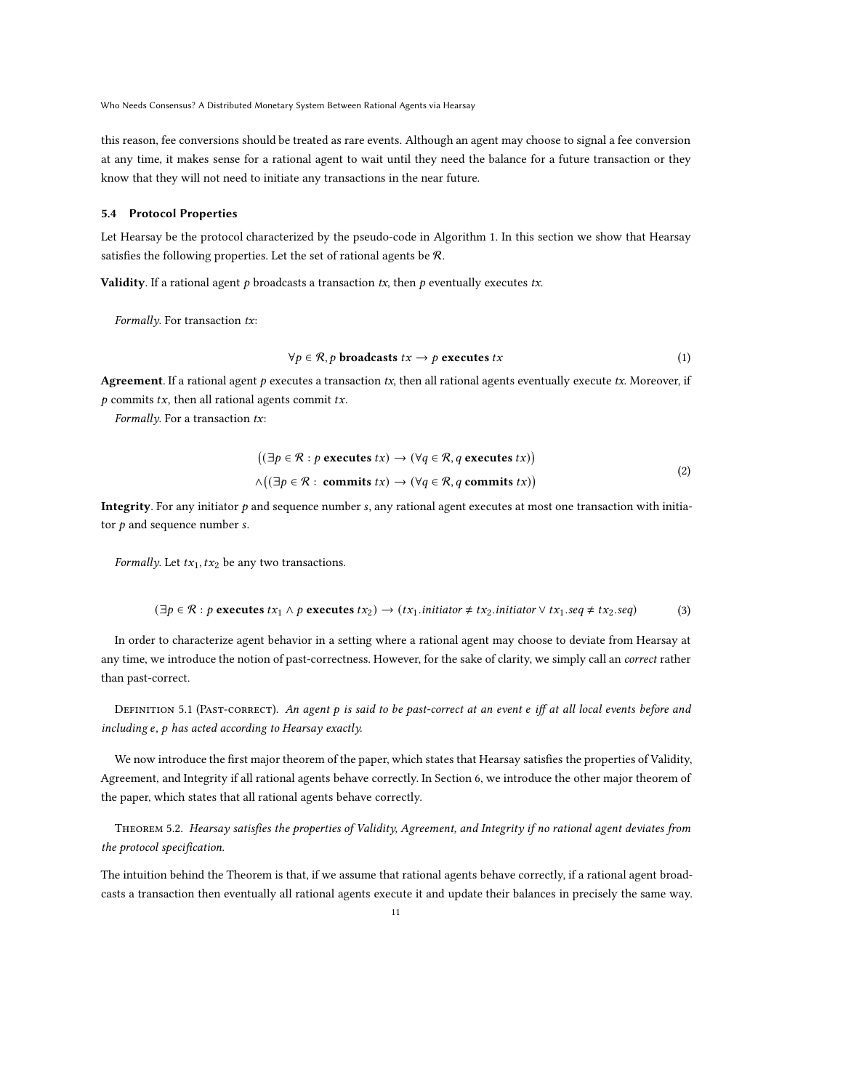this reason, fee conversions should be treated as rare events. Although an agent may choose to signal a fee conversion at any time, it makes sense for a rational agent to wait until they need the balance for a future transaction or they know that they will not need to initiate any transactions in the near future.

#### <span id="page-10-0"></span>5.4 Protocol Properties

Let Hearsay be the protocol characterized by the pseudo-code in Algorithm [1.](#page-9-0) In this section we show that Hearsay satisfies the following properties. Let the set of rational agents be  $R$ .

**Validity.** If a rational agent  $p$  broadcasts a transaction  $tx$ , then  $p$  eventually executes  $tx$ .

Formally. For transaction  $tx$ :

$$
\forall p \in \mathcal{R}, p \text{ broadcasts } tx \to p \text{ executes } tx \tag{1}
$$

Agreement. If a rational agent  $p$  executes a transaction  $tx$ , then all rational agents eventually execute  $tx$ . Moreover, if  $p$  commits  $tx$ , then all rational agents commit  $tx$ .

Formally. For a transaction  $tx$ :

$$
((\exists p \in \mathcal{R} : p \text{ executes } tx) \rightarrow (\forall q \in \mathcal{R}, q \text{ executes } tx))
$$
  

$$
\land ((\exists p \in \mathcal{R} : \text{ commits } tx) \rightarrow (\forall q \in \mathcal{R}, q \text{ commits } tx))
$$
 (2)

Integrity. For any initiator  $p$  and sequence number  $s$ , any rational agent executes at most one transaction with initiator  $p$  and sequence number  $s$ .

Formally. Let  $tx_1, tx_2$  be any two transactions.

$$
(\exists p \in \mathcal{R} : p \text{ executes } tx_1 \land p \text{ executes } tx_2) \rightarrow (tx_1.initiator \neq tx_2.initiator \lor tx_1. seq \neq tx_2. seq)
$$
\n(3)

In order to characterize agent behavior in a setting where a rational agent may choose to deviate from Hearsay at any time, we introduce the notion of past-correctness. However, for the sake of clarity, we simply call an correct rather than past-correct.

DEFINITION 5.1 (PAST-CORRECT). An agent  $p$  is said to be past-correct at an event  $e$  iff at all local events before and including  $e$ ,  $p$  has acted according to Hearsay exactly.

We now introduce the first major theorem of the paper, which states that Hearsay satisfies the properties of Validity, Agreement, and Integrity if all rational agents behave correctly. In Section [6,](#page-12-0) we introduce the other major theorem of the paper, which states that all rational agents behave correctly.

<span id="page-10-1"></span>Theorem 5.2. Hearsay satisfies the properties of Validity, Agreement, and Integrity if no rational agent deviates from the protocol specification.

The intuition behind the Theorem is that, if we assume that rational agents behave correctly, if a rational agent broadcasts a transaction then eventually all rational agents execute it and update their balances in precisely the same way.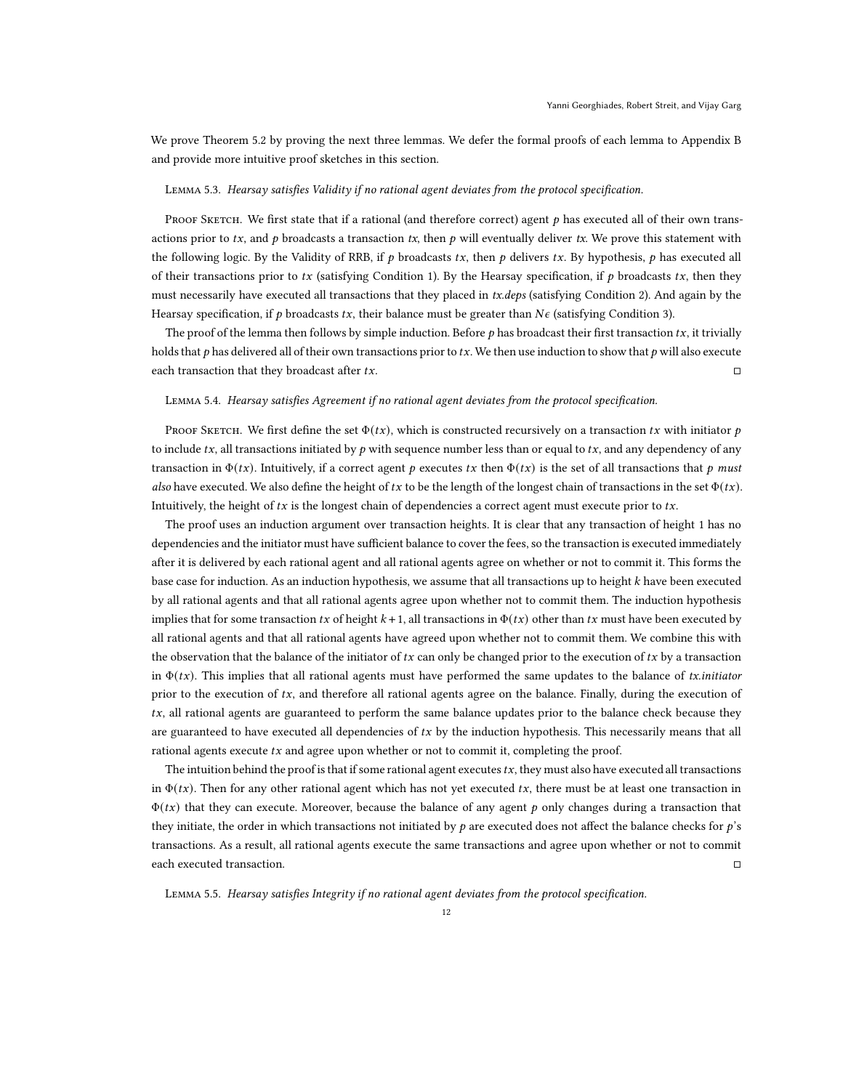We prove Theorem [5.2](#page-10-1) by proving the next three lemmas. We defer the formal proofs of each lemma to Appendix [B](#page-18-0) and provide more intuitive proof sketches in this section.

# <span id="page-11-0"></span>Lemma 5.3. Hearsay satisfies Validity if no rational agent deviates from the protocol specification.

PROOF SKETCH. We first state that if a rational (and therefore correct) agent  $p$  has executed all of their own transactions prior to tx, and  $p$  broadcasts a transaction tx, then  $p$  will eventually deliver tx. We prove this statement with the following logic. By the Validity of RRB, if  $p$  broadcasts  $tx$ , then  $p$  delivers  $tx$ . By hypothesis,  $p$  has executed all of their transactions prior to tx (satisfying Condition 1). By the Hearsay specification, if  $p$  broadcasts tx, then they must necessarily have executed all transactions that they placed in tx.deps (satisfying Condition 2). And again by the Hearsay specification, if p broadcasts tx, their balance must be greater than  $N\epsilon$  (satisfying Condition 3).

The proof of the lemma then follows by simple induction. Before  $p$  has broadcast their first transaction  $tx$ , it trivially holds that  $p$  has delivered all of their own transactions prior to tx. We then use induction to show that  $p$  will also execute each transaction that they broadcast after  $tx$ .

# <span id="page-11-1"></span>Lemma 5.4. Hearsay satisfies Agreement if no rational agent deviates from the protocol specification.

PROOF SKETCH. We first define the set  $\Phi(tx)$ , which is constructed recursively on a transaction tx with initiator p to include  $tx$ , all transactions initiated by  $p$  with sequence number less than or equal to  $tx$ , and any dependency of any transaction in  $\Phi(tx)$ . Intuitively, if a correct agent p executes tx then  $\Phi(tx)$  is the set of all transactions that p must also have executed. We also define the height of tx to be the length of the longest chain of transactions in the set  $\Phi(tx)$ . Intuitively, the height of  $tx$  is the longest chain of dependencies a correct agent must execute prior to  $tx$ .

The proof uses an induction argument over transaction heights. It is clear that any transaction of height 1 has no dependencies and the initiator must have sufficient balance to cover the fees, so the transaction is executed immediately after it is delivered by each rational agent and all rational agents agree on whether or not to commit it. This forms the base case for induction. As an induction hypothesis, we assume that all transactions up to height  $k$  have been executed by all rational agents and that all rational agents agree upon whether not to commit them. The induction hypothesis implies that for some transaction tx of height  $k+1$ , all transactions in  $\Phi(tx)$  other than tx must have been executed by all rational agents and that all rational agents have agreed upon whether not to commit them. We combine this with the observation that the balance of the initiator of  $tx$  can only be changed prior to the execution of  $tx$  by a transaction in  $\Phi(tx)$ . This implies that all rational agents must have performed the same updates to the balance of tx.initiator prior to the execution of  $tx$ , and therefore all rational agents agree on the balance. Finally, during the execution of  $tx$ , all rational agents are guaranteed to perform the same balance updates prior to the balance check because they are guaranteed to have executed all dependencies of  $tx$  by the induction hypothesis. This necessarily means that all rational agents execute  $tx$  and agree upon whether or not to commit it, completing the proof.

The intuition behind the proof is that if some rational agent executes  $tx$ , they must also have executed all transactions in  $\Phi(tx)$ . Then for any other rational agent which has not yet executed tx, there must be at least one transaction in  $\Phi(tx)$  that they can execute. Moreover, because the balance of any agent  $p$  only changes during a transaction that they initiate, the order in which transactions not initiated by  $p$  are executed does not affect the balance checks for  $p$ 's transactions. As a result, all rational agents execute the same transactions and agree upon whether or not to commit each executed transaction.

<span id="page-11-2"></span>Lemma 5.5. Hearsay satisfies Integrity if no rational agent deviates from the protocol specification.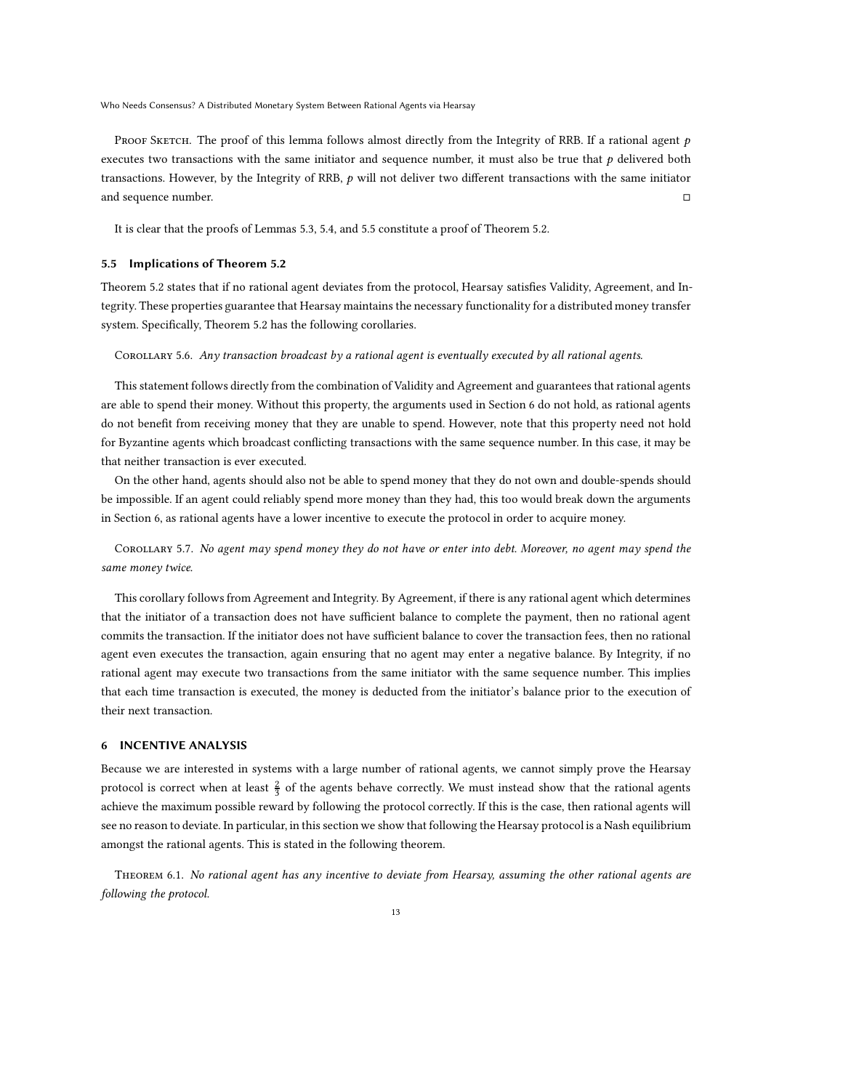Proof Sketch. The proof of this lemma follows almost directly from the Integrity of RRB. If a rational agent  $p$ executes two transactions with the same initiator and sequence number, it must also be true that  $p$  delivered both transactions. However, by the Integrity of RRB,  $p$  will not deliver two different transactions with the same initiator and sequence number.

It is clear that the proofs of Lemmas [5.3,](#page-11-0) [5.4,](#page-11-1) and [5.5](#page-11-2) constitute a proof of Theorem [5.2.](#page-10-1)

#### 5.5 Implications of Theorem [5.2](#page-10-1)

Theorem [5.2](#page-10-1) states that if no rational agent deviates from the protocol, Hearsay satisfies Validity, Agreement, and Integrity. These properties guarantee that Hearsay maintains the necessary functionality for a distributed money transfer system. Specifically, Theorem [5.2](#page-10-1) has the following corollaries.

#### Corollary 5.6. Any transaction broadcast by a rational agent is eventually executed by all rational agents.

This statement follows directly from the combination of Validity and Agreement and guarantees that rational agents are able to spend their money. Without this property, the arguments used in Section [6](#page-12-0) do not hold, as rational agents do not benefit from receiving money that they are unable to spend. However, note that this property need not hold for Byzantine agents which broadcast conflicting transactions with the same sequence number. In this case, it may be that neither transaction is ever executed.

On the other hand, agents should also not be able to spend money that they do not own and double-spends should be impossible. If an agent could reliably spend more money than they had, this too would break down the arguments in Section [6,](#page-12-0) as rational agents have a lower incentive to execute the protocol in order to acquire money.

Corollary 5.7. No agent may spend money they do not have or enter into debt. Moreover, no agent may spend the same money twice.

This corollary follows from Agreement and Integrity. By Agreement, if there is any rational agent which determines that the initiator of a transaction does not have sufficient balance to complete the payment, then no rational agent commits the transaction. If the initiator does not have sufficient balance to cover the transaction fees, then no rational agent even executes the transaction, again ensuring that no agent may enter a negative balance. By Integrity, if no rational agent may execute two transactions from the same initiator with the same sequence number. This implies that each time transaction is executed, the money is deducted from the initiator's balance prior to the execution of their next transaction.

# <span id="page-12-0"></span>6 INCENTIVE ANALYSIS

Because we are interested in systems with a large number of rational agents, we cannot simply prove the Hearsay protocol is correct when at least  $\frac{2}{3}$  of the agents behave correctly. We must instead show that the rational agents achieve the maximum possible reward by following the protocol correctly. If this is the case, then rational agents will see no reason to deviate. In particular, in this section we show that following the Hearsay protocol is a Nash equilibrium amongst the rational agents. This is stated in the following theorem.

Theorem 6.1. No rational agent has any incentive to deviate from Hearsay, assuming the other rational agents are following the protocol.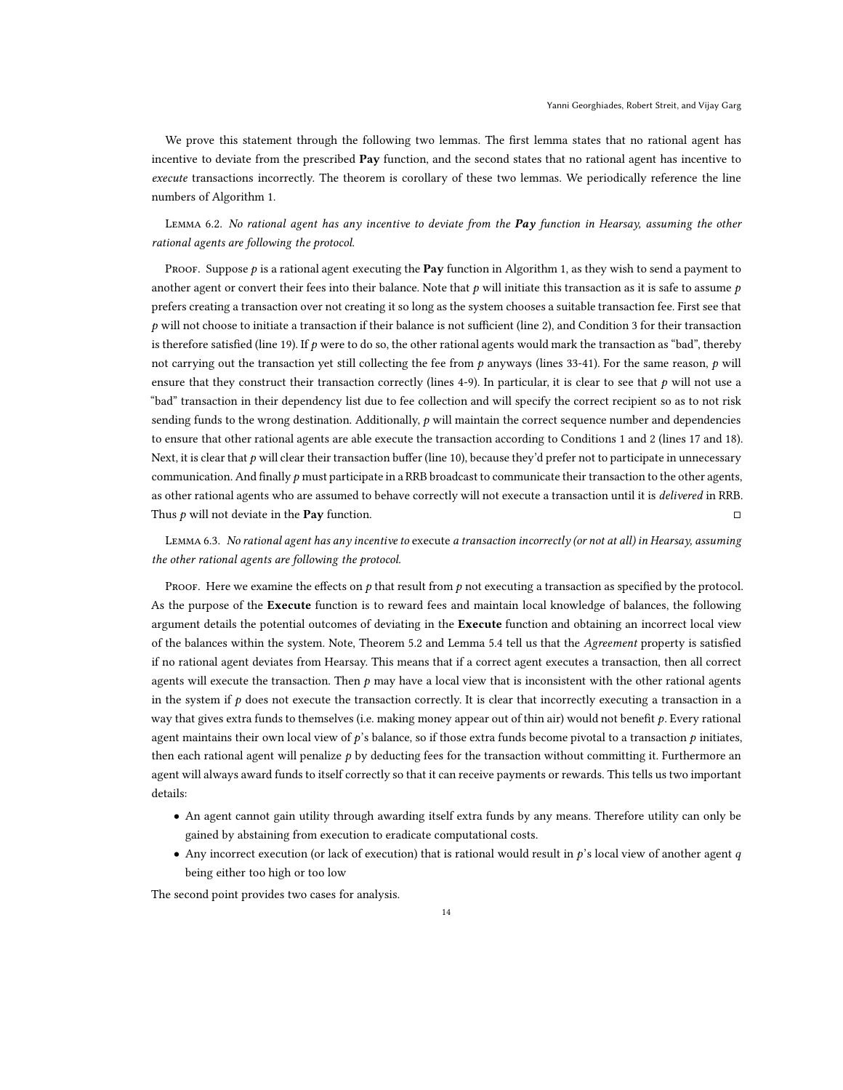We prove this statement through the following two lemmas. The first lemma states that no rational agent has incentive to deviate from the prescribed Pay function, and the second states that no rational agent has incentive to execute transactions incorrectly. The theorem is corollary of these two lemmas. We periodically reference the line numbers of Algorithm [1.](#page-9-0)

LEMMA 6.2. No rational agent has any incentive to deviate from the Pay function in Hearsay, assuming the other rational agents are following the protocol.

Proof. Suppose  $p$  is a rational agent executing the **Pay** function in Algorithm [1,](#page-9-0) as they wish to send a payment to another agent or convert their fees into their balance. Note that  $p$  will initiate this transaction as it is safe to assume  $p$ prefers creating a transaction over not creating it so long as the system chooses a suitable transaction fee. First see that  $p$  will not choose to initiate a transaction if their balance is not sufficient (line [2\)](#page-9-1), and Condition 3 for their transaction is therefore satisfied (line [19\)](#page-9-2). If  $p$  were to do so, the other rational agents would mark the transaction as "bad", thereby not carrying out the transaction yet still collecting the fee from  $p$  anyways (lines [33](#page-9-3)[-41\)](#page-9-4). For the same reason,  $p$  will ensure that they construct their transaction correctly (lines [4-](#page-9-5)[9\)](#page-9-6). In particular, it is clear to see that  $p$  will not use a "bad" transaction in their dependency list due to fee collection and will specify the correct recipient so as to not risk sending funds to the wrong destination. Additionally,  $p$  will maintain the correct sequence number and dependencies to ensure that other rational agents are able execute the transaction according to Conditions 1 and 2 (lines [17](#page-9-7) and [18\)](#page-9-8). Next, it is clear that  $p$  will clear their transaction buffer (line [10\)](#page-9-9), because they'd prefer not to participate in unnecessary communication. And finally  $p$  must participate in a RRB broadcast to communicate their transaction to the other agents, as other rational agents who are assumed to behave correctly will not execute a transaction until it is delivered in RRB. Thus  $p$  will not deviate in the **Pay** function.

Lemma 6.3. No rational agent has any incentive to execute a transaction incorrectly (or not at all) in Hearsay, assuming the other rational agents are following the protocol.

PROOF. Here we examine the effects on  $p$  that result from  $p$  not executing a transaction as specified by the protocol. As the purpose of the Execute function is to reward fees and maintain local knowledge of balances, the following argument details the potential outcomes of deviating in the Execute function and obtaining an incorrect local view of the balances within the system. Note, Theorem [5.2](#page-10-1) and Lemma [5.4](#page-11-1) tell us that the Agreement property is satisfied if no rational agent deviates from Hearsay. This means that if a correct agent executes a transaction, then all correct agents will execute the transaction. Then  $p$  may have a local view that is inconsistent with the other rational agents in the system if  $p$  does not execute the transaction correctly. It is clear that incorrectly executing a transaction in a way that gives extra funds to themselves (i.e. making money appear out of thin air) would not benefit p. Every rational agent maintains their own local view of  $p$ 's balance, so if those extra funds become pivotal to a transaction  $p$  initiates, then each rational agent will penalize  $p$  by deducting fees for the transaction without committing it. Furthermore an agent will always award funds to itself correctly so that it can receive payments or rewards. This tells us two important details:

- An agent cannot gain utility through awarding itself extra funds by any means. Therefore utility can only be gained by abstaining from execution to eradicate computational costs.
- Any incorrect execution (or lack of execution) that is rational would result in  $p$ 's local view of another agent  $q$ being either too high or too low

The second point provides two cases for analysis.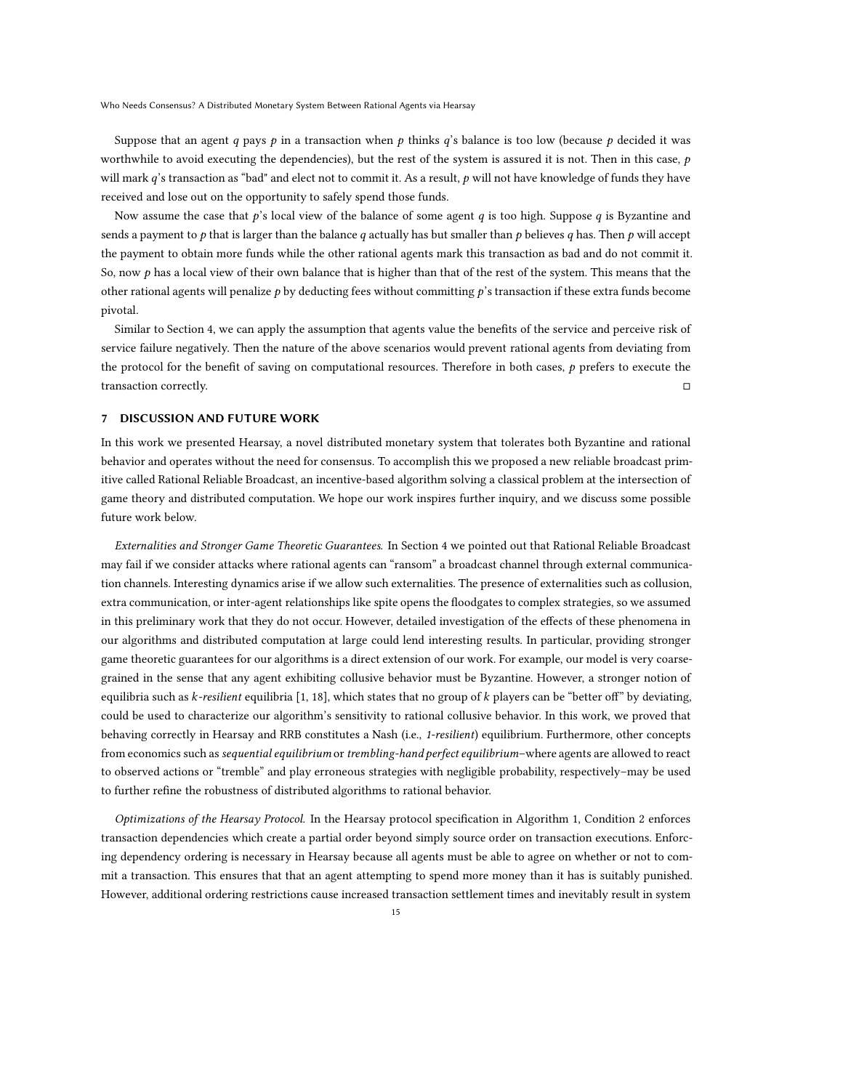Suppose that an agent q pays p in a transaction when p thinks q's balance is too low (because p decided it was worthwhile to avoid executing the dependencies), but the rest of the system is assured it is not. Then in this case,  $p$ will mark q's transaction as "bad" and elect not to commit it. As a result,  $p$  will not have knowledge of funds they have received and lose out on the opportunity to safely spend those funds.

Now assume the case that  $p$ 's local view of the balance of some agent  $q$  is too high. Suppose  $q$  is Byzantine and sends a payment to p that is larger than the balance q actually has but smaller than p believes q has. Then p will accept the payment to obtain more funds while the other rational agents mark this transaction as bad and do not commit it. So, now  $p$  has a local view of their own balance that is higher than that of the rest of the system. This means that the other rational agents will penalize  $p$  by deducting fees without committing  $p'$ 's transaction if these extra funds become pivotal.

Similar to Section [4,](#page-3-1) we can apply the assumption that agents value the benefits of the service and perceive risk of service failure negatively. Then the nature of the above scenarios would prevent rational agents from deviating from the protocol for the benefit of saving on computational resources. Therefore in both cases,  $p$  prefers to execute the transaction correctly.

# <span id="page-14-0"></span>7 DISCUSSION AND FUTURE WORK

In this work we presented Hearsay, a novel distributed monetary system that tolerates both Byzantine and rational behavior and operates without the need for consensus. To accomplish this we proposed a new reliable broadcast primitive called Rational Reliable Broadcast, an incentive-based algorithm solving a classical problem at the intersection of game theory and distributed computation. We hope our work inspires further inquiry, and we discuss some possible future work below.

Externalities and Stronger Game Theoretic Guarantees. In Section [4](#page-3-1) we pointed out that Rational Reliable Broadcast may fail if we consider attacks where rational agents can "ransom" a broadcast channel through external communication channels. Interesting dynamics arise if we allow such externalities. The presence of externalities such as collusion, extra communication, or inter-agent relationships like spite opens the floodgates to complex strategies, so we assumed in this preliminary work that they do not occur. However, detailed investigation of the effects of these phenomena in our algorithms and distributed computation at large could lend interesting results. In particular, providing stronger game theoretic guarantees for our algorithms is a direct extension of our work. For example, our model is very coarsegrained in the sense that any agent exhibiting collusive behavior must be Byzantine. However, a stronger notion of equilibria such as  $k$ -resilient equilibria [\[1](#page-15-16), [18\]](#page-16-9), which states that no group of  $k$  players can be "better off" by deviating, could be used to characterize our algorithm's sensitivity to rational collusive behavior. In this work, we proved that behaving correctly in Hearsay and RRB constitutes a Nash (i.e., 1-resilient) equilibrium. Furthermore, other concepts from economics such as *sequential equilibrium* or *trembling-hand perfect equilibrium*–where agents are allowed to react to observed actions or "tremble" and play erroneous strategies with negligible probability, respectively–may be used to further refine the robustness of distributed algorithms to rational behavior.

Optimizations of the Hearsay Protocol. In the Hearsay protocol specification in Algorithm [1,](#page-9-0) Condition 2 enforces transaction dependencies which create a partial order beyond simply source order on transaction executions. Enforcing dependency ordering is necessary in Hearsay because all agents must be able to agree on whether or not to commit a transaction. This ensures that that an agent attempting to spend more money than it has is suitably punished. However, additional ordering restrictions cause increased transaction settlement times and inevitably result in system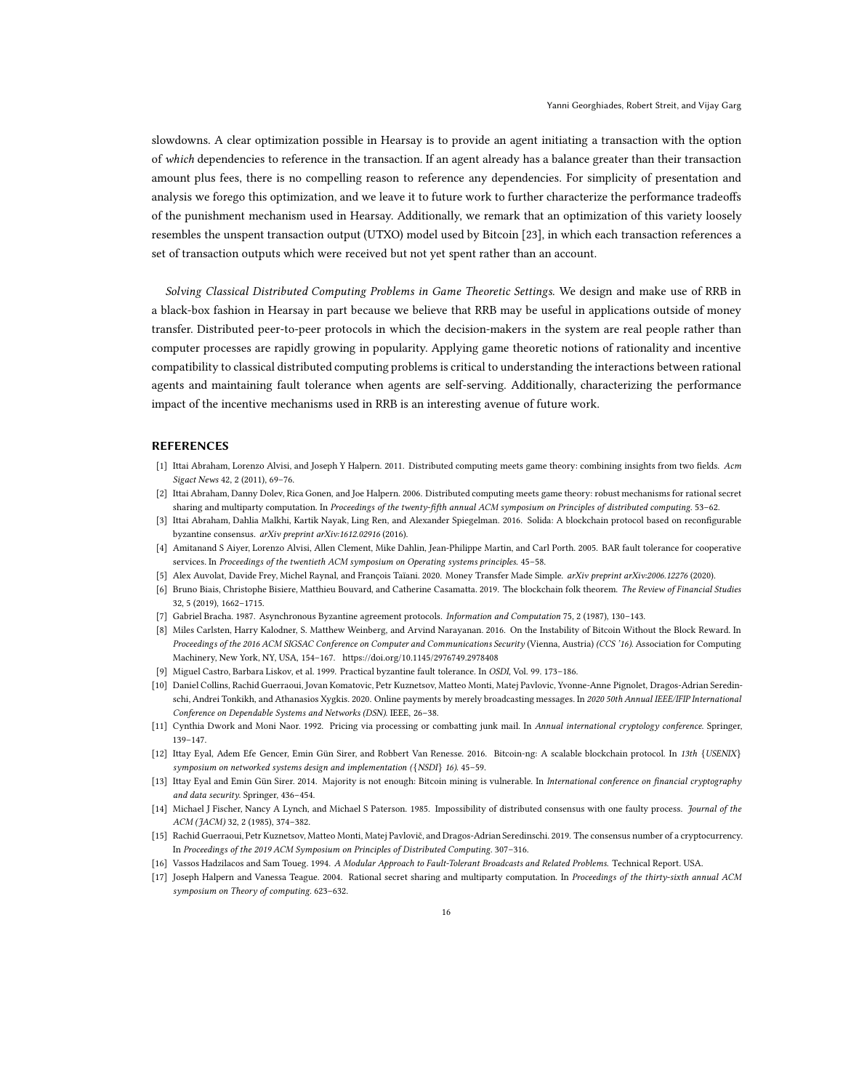slowdowns. A clear optimization possible in Hearsay is to provide an agent initiating a transaction with the option of which dependencies to reference in the transaction. If an agent already has a balance greater than their transaction amount plus fees, there is no compelling reason to reference any dependencies. For simplicity of presentation and analysis we forego this optimization, and we leave it to future work to further characterize the performance tradeoffs of the punishment mechanism used in Hearsay. Additionally, we remark that an optimization of this variety loosely resembles the unspent transaction output (UTXO) model used by Bitcoin [\[23\]](#page-16-0), in which each transaction references a set of transaction outputs which were received but not yet spent rather than an account.

Solving Classical Distributed Computing Problems in Game Theoretic Settings. We design and make use of RRB in a black-box fashion in Hearsay in part because we believe that RRB may be useful in applications outside of money transfer. Distributed peer-to-peer protocols in which the decision-makers in the system are real people rather than computer processes are rapidly growing in popularity. Applying game theoretic notions of rationality and incentive compatibility to classical distributed computing problems is critical to understanding the interactions between rational agents and maintaining fault tolerance when agents are self-serving. Additionally, characterizing the performance impact of the incentive mechanisms used in RRB is an interesting avenue of future work.

#### REFERENCES

- <span id="page-15-16"></span>[1] Ittai Abraham, Lorenzo Alvisi, and Joseph Y Halpern. 2011. Distributed computing meets game theory: combining insights from two fields. Acm Sigact News 42, 2 (2011), 69–76.
- <span id="page-15-14"></span>[2] Ittai Abraham, Danny Dolev, Rica Gonen, and Joe Halpern. 2006. Distributed computing meets game theory: robust mechanisms for rational secret sharing and multiparty computation. In Proceedings of the twenty-fifth annual ACM symposium on Principles of distributed computing. 53–62.
- <span id="page-15-11"></span>[3] Ittai Abraham, Dahlia Malkhi, Kartik Nayak, Ling Ren, and Alexander Spiegelman. 2016. Solida: A blockchain protocol based on reconfigurable byzantine consensus. arXiv preprint arXiv:1612.02916 (2016).
- <span id="page-15-6"></span>[4] Amitanand S Aiyer, Lorenzo Alvisi, Allen Clement, Mike Dahlin, Jean-Philippe Martin, and Carl Porth. 2005. BAR fault tolerance for cooperative services. In Proceedings of the twentieth ACM symposium on Operating systems principles. 45–58.
- <span id="page-15-0"></span>[5] Alex Auvolat, Davide Frey, Michel Raynal, and François Taïani. 2020. Money Transfer Made Simple. arXiv preprint arXiv:2006.12276 (2020).
- <span id="page-15-12"></span>[6] Bruno Biais, Christophe Bisiere, Matthieu Bouvard, and Catherine Casamatta. 2019. The blockchain folk theorem. The Review of Financial Studies 32, 5 (2019), 1662–1715.
- <span id="page-15-3"></span>[7] Gabriel Bracha. 1987. Asynchronous Byzantine agreement protocols. Information and Computation 75, 2 (1987), 130–143.
- <span id="page-15-8"></span>[8] Miles Carlsten, Harry Kalodner, S. Matthew Weinberg, and Arvind Narayanan. 2016. On the Instability of Bitcoin Without the Block Reward. In Proceedings of the 2016 ACM SIGSAC Conference on Computer and Communications Security (Vienna, Austria) (CCS '16). Association for Computing Machinery, New York, NY, USA, 154–167.<https://doi.org/10.1145/2976749.2978408>
- <span id="page-15-10"></span>[9] Miguel Castro, Barbara Liskov, et al. 1999. Practical byzantine fault tolerance. In OSDI, Vol. 99. 173–186.
- <span id="page-15-1"></span>[10] Daniel Collins, Rachid Guerraoui, Jovan Komatovic, Petr Kuznetsov, Matteo Monti, Matej Pavlovic, Yvonne-Anne Pignolet, Dragos-Adrian Seredinschi, Andrei Tonkikh, and Athanasios Xygkis. 2020. Online payments by merely broadcasting messages. In 2020 50th Annual IEEE/IFIP International Conference on Dependable Systems and Networks (DSN). IEEE, 26–38.
- <span id="page-15-5"></span>[11] Cynthia Dwork and Moni Naor. 1992. Pricing via processing or combatting junk mail. In Annual international cryptology conference. Springer, 139–147.
- <span id="page-15-7"></span>[12] Ittay Eyal, Adem Efe Gencer, Emin Gün Sirer, and Robbert Van Renesse. 2016. Bitcoin-ng: A scalable blockchain protocol. In 13th {USENIX} symposium on networked systems design and implementation ({NSDI} 16). 45–59.
- <span id="page-15-9"></span>[13] Ittay Eyal and Emin Gün Sirer. 2014. Majority is not enough: Bitcoin mining is vulnerable. In International conference on financial cryptography and data security. Springer, 436–454.
- <span id="page-15-4"></span>[14] Michael J Fischer, Nancy A Lynch, and Michael S Paterson. 1985. Impossibility of distributed consensus with one faulty process. Journal of the ACM (JACM) 32, 2 (1985), 374–382.
- <span id="page-15-2"></span>[15] Rachid Guerraoui, Petr Kuznetsov, Matteo Monti, Matej Pavlovič, and Dragos-Adrian Seredinschi. 2019. The consensus number of a cryptocurrency. In Proceedings of the 2019 ACM Symposium on Principles of Distributed Computing. 307–316.
- <span id="page-15-15"></span>[16] Vassos Hadzilacos and Sam Toueg. 1994. A Modular Approach to Fault-Tolerant Broadcasts and Related Problems. Technical Report. USA.
- <span id="page-15-13"></span>[17] Joseph Halpern and Vanessa Teague. 2004. Rational secret sharing and multiparty computation. In Proceedings of the thirty-sixth annual ACM symposium on Theory of computing. 623–632.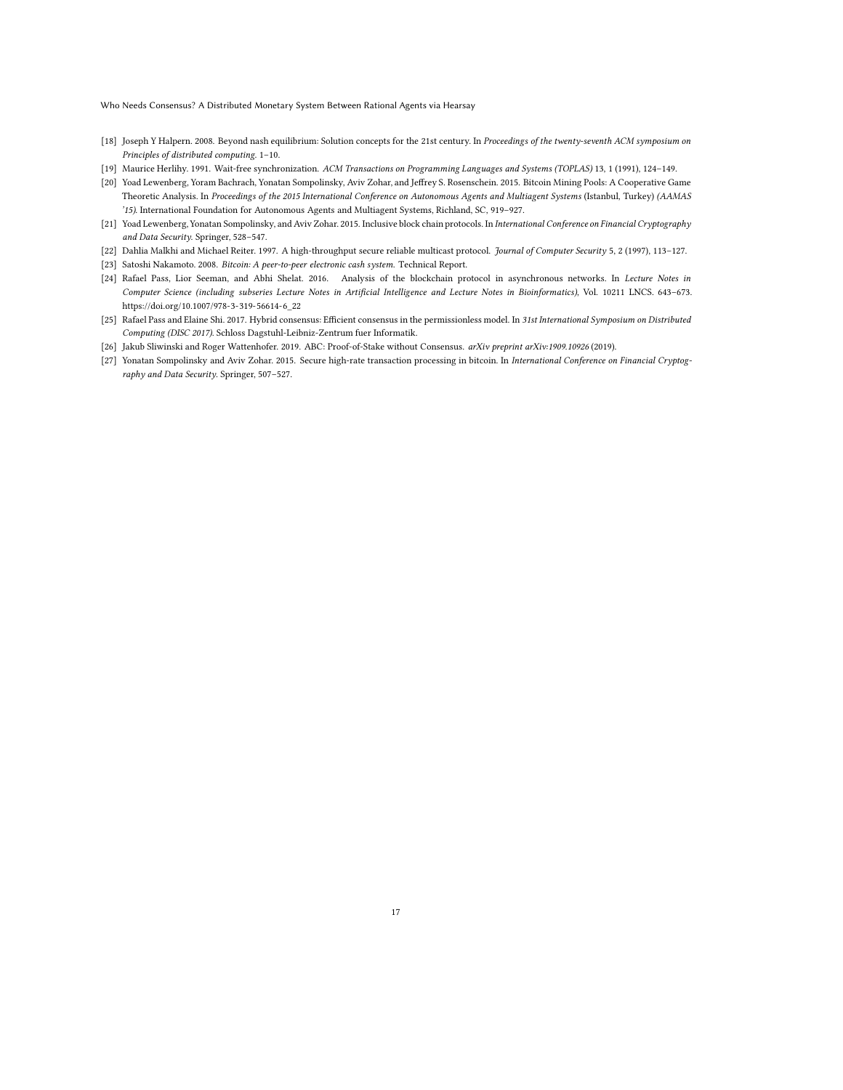- <span id="page-16-9"></span>[18] Joseph Y Halpern. 2008. Beyond nash equilibrium: Solution concepts for the 21st century. In Proceedings of the twenty-seventh ACM symposium on Principles of distributed computing. 1–10.
- <span id="page-16-1"></span>[19] Maurice Herlihy. 1991. Wait-free synchronization. ACM Transactions on Programming Languages and Systems (TOPLAS) 13, 1 (1991), 124–149.
- <span id="page-16-8"></span>[20] Yoad Lewenberg, Yoram Bachrach, Yonatan Sompolinsky, Aviv Zohar, and Jeffrey S. Rosenschein. 2015. Bitcoin Mining Pools: A Cooperative Game Theoretic Analysis. In Proceedings of the 2015 International Conference on Autonomous Agents and Multiagent Systems (Istanbul, Turkey) (AAMAS '15). International Foundation for Autonomous Agents and Multiagent Systems, Richland, SC, 919–927.
- <span id="page-16-4"></span>[21] Yoad Lewenberg, Yonatan Sompolinsky, and Aviv Zohar. 2015. Inclusive block chain protocols. In International Conference on Financial Cryptography and Data Security. Springer, 528–547.
- <span id="page-16-2"></span>[22] Dahlia Malkhi and Michael Reiter. 1997. A high-throughput secure reliable multicast protocol. Journal of Computer Security 5, 2 (1997), 113–127.
- <span id="page-16-0"></span>[23] Satoshi Nakamoto. 2008. Bitcoin: A peer-to-peer electronic cash system. Technical Report.
- <span id="page-16-6"></span>[24] Rafael Pass, Lior Seeman, and Abhi Shelat. 2016. Analysis of the blockchain protocol in asynchronous networks. In Lecture Notes in Computer Science (including subseries Lecture Notes in Artificial Intelligence and Lecture Notes in Bioinformatics), Vol. 10211 LNCS. 643–673. [https://doi.org/10.1007/978-3-319-56614-6\\_22](https://doi.org/10.1007/978-3-319-56614-6_22)
- <span id="page-16-7"></span>[25] Rafael Pass and Elaine Shi. 2017. Hybrid consensus: Efficient consensus in the permissionless model. In 31st International Symposium on Distributed Computing (DISC 2017). Schloss Dagstuhl-Leibniz-Zentrum fuer Informatik.
- <span id="page-16-3"></span>[26] Jakub Sliwinski and Roger Wattenhofer. 2019. ABC: Proof-of-Stake without Consensus. arXiv preprint arXiv:1909.10926 (2019).
- <span id="page-16-5"></span>[27] Yonatan Sompolinsky and Aviv Zohar. 2015. Secure high-rate transaction processing in bitcoin. In International Conference on Financial Cryptography and Data Security. Springer, 507–527.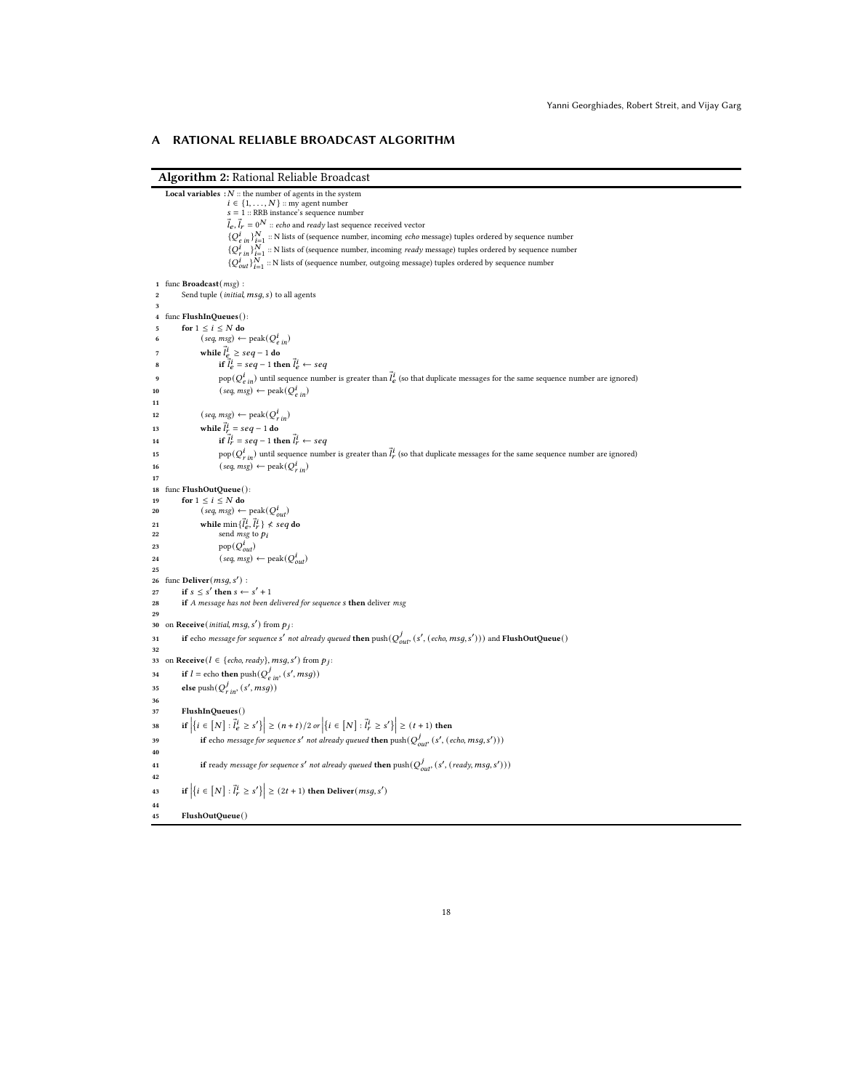### <span id="page-17-1"></span>A RATIONAL RELIABLE BROADCAST ALGORITHM

### Algorithm 2: Rational Reliable Broadcast

<span id="page-17-4"></span><span id="page-17-3"></span><span id="page-17-2"></span><span id="page-17-0"></span>Local variables  $:N::$  the number of agents in the system  $i \in \{1, \ldots, N\}$  :: my agent number<br> $s = 1$  :: RRB instance's sequence number  $\vec{l}_e,\vec{l}_r=0^N$  :: echo and ready last sequence received vector  $\{Q_{e\;in}^i\}_{i=1}^N:$  N lists of (sequence number, incoming *echo* message) tuples ordered by sequence number  $\{Q_{r\,in}^i\}_{i=1}^N:$  N lists of (sequence number, incoming *ready* message) tuples ordered by sequence number  $\{Q_{out}^i\}_{i=1}^N:$  N lists of (sequence number, outgoing message) tuples ordered by sequence number 1 func Broadcast(msg) : 2 Send tuple (*initial, msg, s*) to all agents 3 4 func FlushInQueues(): 5 for  $1 \le i \le N$  do 6 (seq, msg)  $\leftarrow$  peak( $Q_{e\,in}^i$ ) 7 while  $\vec{l}_e^i \ge \textit{seq} - 1$  do 8 if  $\vec{l}_e^i = seq - 1$  then  $\vec{l}_e^i \leftarrow seq$  $\text{pop}(Q^i_{e\;in})$  until sequence number is greater than  $\vec{l}^i_e$  (so that duplicate messages for the same sequence number are ignored) 10  $(seq, msg) \leftarrow peak(Q_{e\ in}^i)$ 11 12  $(\text{seq}, \text{msg}) \leftarrow \text{peak}(Q_{r\text{ in}}^i)$ 13 while  $\vec{l}'_r = \text{seq} - 1$  do 14 if  $\vec{l}_r^i = \text{seq} - 1$  then  $\vec{l}_r^i \leftarrow \text{seq}$ 15 pop $(Q_{r\,in}^i)$  until sequence number is greater than  $\vec{l}_r^i$  (so that duplicate messages for the same sequence number are ignored) 16  $(seq, msg) \leftarrow peak(Q_{r in}^i)$ 17 18 func FlushOutQueue(): 19 for  $1 \leq i \leq N$  do 20  $(\text{seq}, \text{msg}) \leftarrow \text{peak}(Q_{out}^i)$ 21 while  $\min\{\vec{l}_e^i, \vec{l}_r^i\} \nless \text{seq do}$  $22$  send msg to  $p_i$ 23 pop $(Q_{out}^i)$ 24 (seq, msg)  $\leftarrow$  peak( $Q_{out}^i$ ) 25 26 func Deliver $(msg, s')$ : 27 if  $s \leq s'$  then  $s \leftarrow s' + 1$ 28 if A message has not been delivered for sequence s then deliver msg 29 30 on Receive(*initial, msg, s'*) from  $p_j$ : 31 if echo message for sequence  $s'$  not already queued then  $\text{push}(Q_{out}^j,(s',(echo, msg, s')))$  and  $\text{FlushOutQueue}()$ 32 33 on Receive ( $l \in \{echo, ready\}, msg, s')$  from  $pj$ : 34 if  $l =$  echo then  $\text{push}(Q_{e\,in}^j, (s',\text{msg}))$ 35 else $\text{push}(Q_{r\,in}^j,(s',\mathit{msg}))$ 36 37 FlushInQueues() 38 if  $\left| \left\{ i \in [N] : \vec{l}_{\mathcal{C}}^i \geq s' \right\} \right| \geq (n+t)/2 \text{ or } \left| \left\{ i \in [N] : \vec{l}_{\mathcal{C}}^i \geq s' \right\} \right| \geq (t+1) \text{ then}$ 39 if echo message for sequence s' not already queued then  $\text{push}(Q_{out}^j, (s', (echo, msg, s')))$ 40 41 if ready message for sequence  $s'$  not already queued then  $\text{push}(\mathcal{Q}^j_{out'}(s',(ready, msg, s')))$ 42 43 if  $\left| \left\{ i\in [N]: \vec{l}_r^i \geq s' \right\} \right| \geq (2t+1)$  then Deliver $(msg, s')$ 44 45 FlushOutQueue()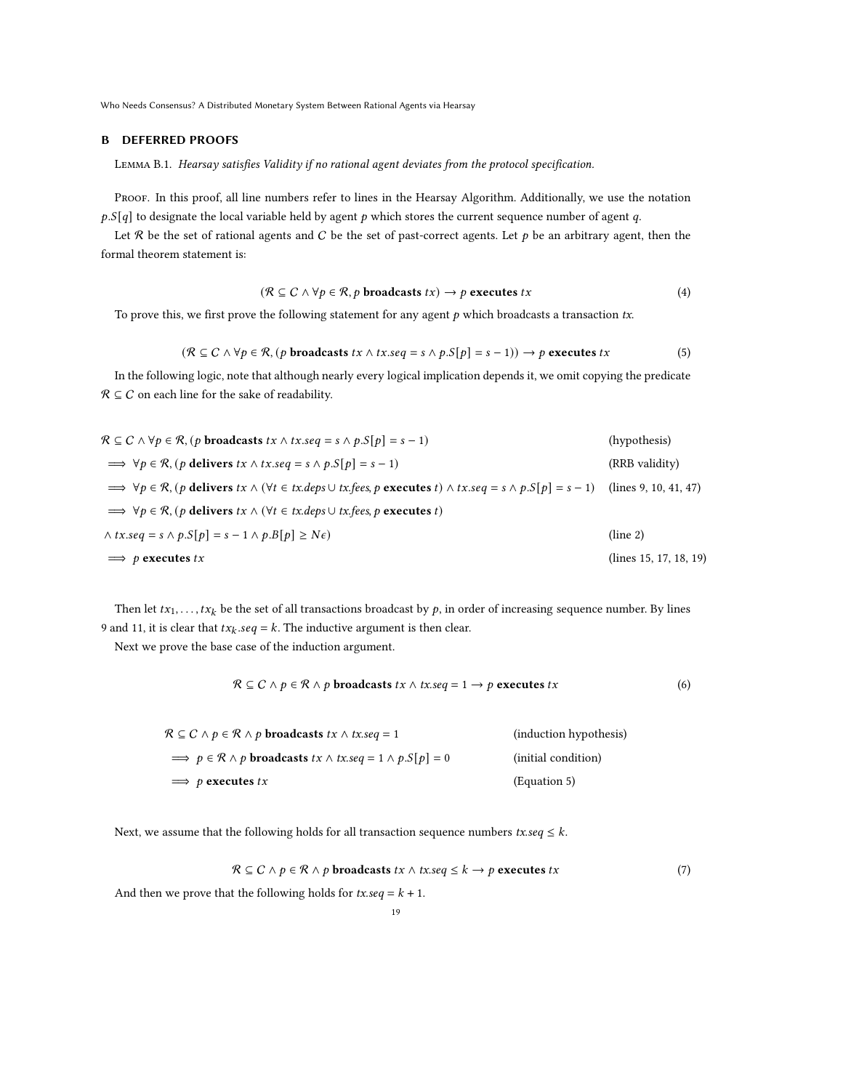# <span id="page-18-0"></span>B DEFERRED PROOFS

Lemma B.1. Hearsay satisfies Validity if no rational agent deviates from the protocol specification.

Proof. In this proof, all line numbers refer to lines in the Hearsay Algorithm. Additionally, we use the notation  $p.S[q]$  to designate the local variable held by agent  $p$  which stores the current sequence number of agent  $q$ .

Let  $R$  be the set of rational agents and  $C$  be the set of past-correct agents. Let  $p$  be an arbitrary agent, then the formal theorem statement is:

$$
(\mathcal{R} \subseteq C \land \forall p \in \mathcal{R}, p \text{ broadcasts } tx) \rightarrow p \text{ executes } tx \tag{4}
$$

To prove this, we first prove the following statement for any agent  $p$  which broadcasts a transaction tx.

<span id="page-18-1"></span>
$$
(\mathcal{R} \subseteq C \land \forall p \in \mathcal{R}, (p \text{ broadcasts } tx \land tx \text{ .} \text{ } s \text{ .} \text{ } \text{ } p \text{ .} \text{ } s \text{ } \land \text{ } p \text{ .} \text{ } s \text{ } \text{ } p \text{ .} \text{ } s \text{ } - 1)) \rightarrow p \text{ executes } tx \tag{5}
$$

In the following logic, note that although nearly every logical implication depends it, we omit copying the predicate  $\mathcal{R} \subseteq \mathcal{C}$  on each line for the sake of readability.

$$
\mathcal{R} \subseteq C \land \forall p \in \mathcal{R}, (p \text{ broadcasts } tx \land tx \text{ .seq = s} \land p.S[p] = s - 1)
$$
 (hypothesis)  
\n
$$
\implies \forall p \in \mathcal{R}, (p \text{ delivers } tx \land tx \text{ .seq = s} \land p.S[p] = s - 1)
$$
 (RRB validity)  
\n
$$
\implies \forall p \in \mathcal{R}, (p \text{ delivers } tx \land (\forall t \in tx \text{ .steps} \cup tx \text{ .free}, p \text{ executes } t) \land tx \text{ .seq = s} \land p.S[p] = s - 1)
$$
 (lines 9, 10, 41, 47)  
\n
$$
\implies \forall p \in \mathcal{R}, (p \text{ delivers } tx \land (\forall t \in tx \text{ .deps} \cup tx \text{ .free}, p \text{ executes } t)
$$
  
\n
$$
\land tx \text{ .seq = s} \land p.S[p] = s - 1 \land p.B[p] \ge N\epsilon)
$$
 (line 2)  
\n
$$
\implies p \text{ executes } tx
$$
 (lines 15, 17, 18, 19)

Then let  $tx_1, \ldots, tx_k$  be the set of all transactions broadcast by  $p$ , in order of increasing sequence number. By lines [9](#page-9-6) and [11,](#page-9-12) it is clear that  $tx_k \text{.} \text{seq} = k$ . The inductive argument is then clear.

Next we prove the base case of the induction argument.

$$
\mathcal{R} \subseteq C \land p \in \mathcal{R} \land p \text{ broadcasts } tx \land tx \text{.} \text{seq} = 1 \rightarrow p \text{ executes } tx \tag{6}
$$

| $\mathcal{R} \subseteq C \land p \in \mathcal{R} \land p$ broadcasts $tx \land tx \leq q = 1$      | (induction hypothesis) |
|----------------------------------------------------------------------------------------------------|------------------------|
| $\implies p \in \mathcal{R} \wedge p$ broadcasts $tx \wedge tx \leq a = 1 \wedge p \cdot S[p] = 0$ | (initial condition)    |
| $\implies p$ executes tx                                                                           | (Equation 5)           |

Next, we assume that the following holds for all transaction sequence numbers  $tx \text{.}seq \leq k$ .

<span id="page-18-2"></span>R ⊆ C ∧ 𝑝 ∈ R ∧ 𝑝 broadcasts 𝑡𝑥 ∧ tx.seq ≤ 𝑘 → 𝑝 executes 𝑡𝑥 (7)

And then we prove that the following holds for  $tx \text{.} seq = k + 1$ .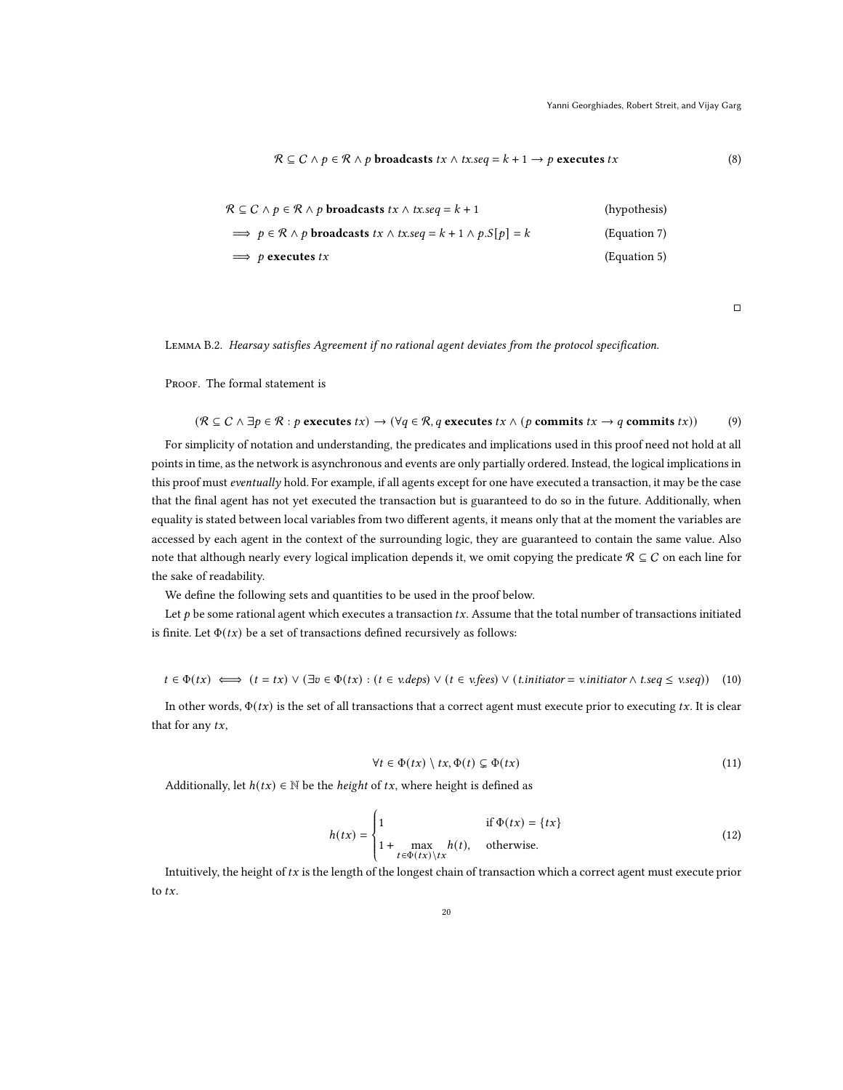$$
\mathcal{R} \subseteq C \land p \in \mathcal{R} \land p \text{ broadcasts } tx \land tx \text{.} \text{seq} = k + 1 \rightarrow p \text{ executes } tx \tag{8}
$$

| $\mathcal{R} \subseteq C \land p \in \mathcal{R} \land p$ broadcasts $tx \land tx \text{.} seq = k + 1$ | (hypothesis) |
|---------------------------------------------------------------------------------------------------------|--------------|
| $\implies p \in \mathcal{R} \wedge p$ broadcasts $tx \wedge tx \leq q = k + 1 \wedge p \cdot S[p] = k$  | (Equation 7) |
| $\implies p$ executes tx                                                                                | (Equation 5) |

 $\Box$ 

Lemma B.2. Hearsay satisfies Agreement if no rational agent deviates from the protocol specification.

PROOF. The formal statement is

$$
(\mathcal{R} \subseteq C \land \exists p \in \mathcal{R} : p \text{ executes } tx) \rightarrow (\forall q \in \mathcal{R}, q \text{ executes } tx \land (p \text{ commits } tx \rightarrow q \text{ commits } tx))
$$
 (9)

For simplicity of notation and understanding, the predicates and implications used in this proof need not hold at all points in time, as the network is asynchronous and events are only partially ordered. Instead, the logical implicationsin this proof must eventually hold. For example, if all agents except for one have executed a transaction, it may be the case that the final agent has not yet executed the transaction but is guaranteed to do so in the future. Additionally, when equality is stated between local variables from two different agents, it means only that at the moment the variables are accessed by each agent in the context of the surrounding logic, they are guaranteed to contain the same value. Also note that although nearly every logical implication depends it, we omit copying the predicate  $\mathcal{R} \subseteq C$  on each line for the sake of readability.

We define the following sets and quantities to be used in the proof below.

Let  $p$  be some rational agent which executes a transaction  $tx$ . Assume that the total number of transactions initiated is finite. Let  $\Phi(tx)$  be a set of transactions defined recursively as follows:

$$
t \in \Phi(tx) \iff (t = tx) \lor (\exists v \in \Phi(tx) : (t \in v \land \text{deg}s) \lor (t \in v \land \text{deg}s) \lor (t \text{.initiator} = v \text{.initiator} \land t \text{.seq} \le v \text{.seq})
$$
 (10)

In other words,  $\Phi(tx)$  is the set of all transactions that a correct agent must execute prior to executing tx. It is clear that for any  $tx$ ,

$$
\forall t \in \Phi(tx) \setminus tx, \Phi(t) \subsetneq \Phi(tx) \tag{11}
$$

Additionally, let  $h(tx) \in \mathbb{N}$  be the *height* of  $tx$ , where height is defined as

$$
h(tx) = \begin{cases} 1 & \text{if } \Phi(tx) = \{tx\} \\ 1 + \max_{t \in \Phi(tx) \setminus tx} h(t), & \text{otherwise.} \end{cases}
$$
(12)

Intuitively, the height of  $tx$  is the length of the longest chain of transaction which a correct agent must execute prior to  $tx$ .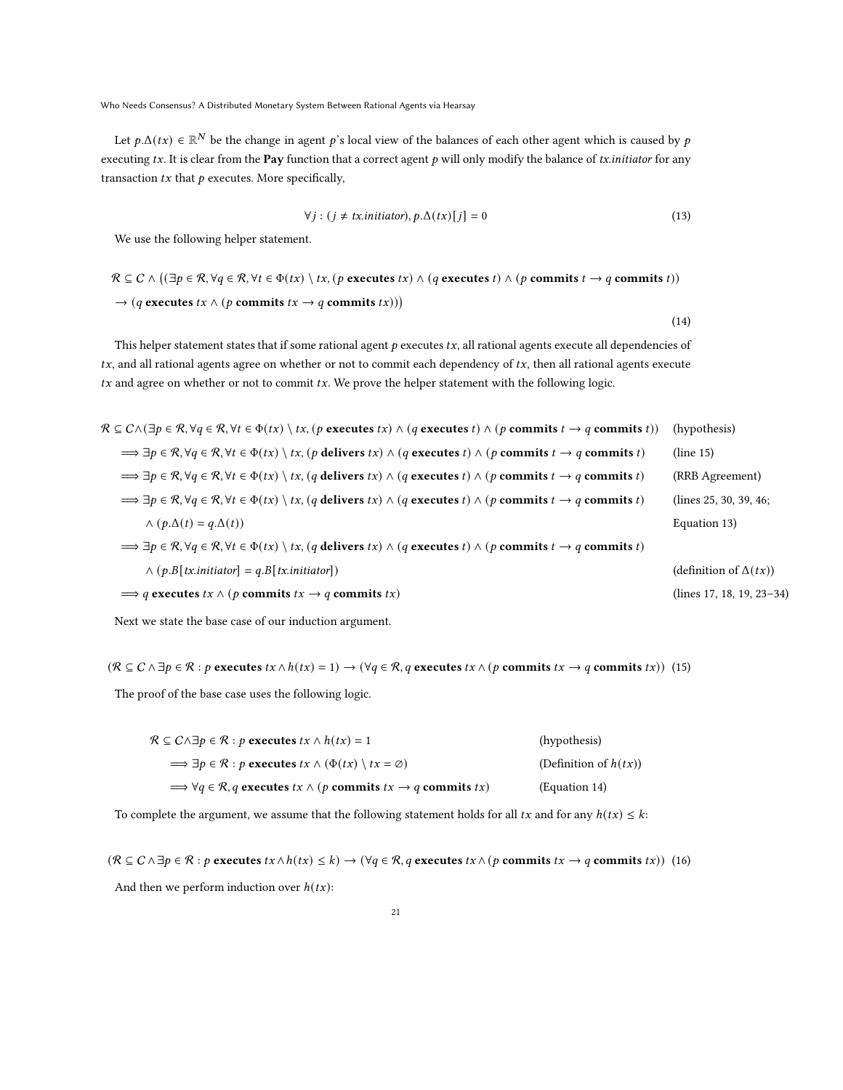Let  $p.\Delta(tx)\in\mathbb{R}^N$  be the change in agent  $p$ 's local view of the balances of each other agent which is caused by  $p$ executing  $tx$ . It is clear from the Pay function that a correct agent  $p$  will only modify the balance of  $tx.initiator$  for any transaction  $tx$  that  $p$  executes. More specifically,

<span id="page-20-0"></span>
$$
\forall j: (j \neq tx.initiator), p.\Delta(tx)[j] = 0 \tag{13}
$$

We use the following helper statement.

<span id="page-20-1"></span> $\mathcal{R} \subseteq C \land ((\exists p \in \mathcal{R}, \forall q \in \mathcal{R}, \forall t \in \Phi(tx) \setminus tx, (p \text{ executes } tx) \land (q \text{ executes } t) \land (p \text{ commits } t \rightarrow q \text{ commits } t))$  $\rightarrow$  (q executes  $tx \wedge (p$  commits  $tx \rightarrow q$  commits  $tx$ )))

(14)

This helper statement states that if some rational agent  $p$  executes  $tx$ , all rational agents execute all dependencies of  $tx$ , and all rational agents agree on whether or not to commit each dependency of  $tx$ , then all rational agents execute  $tx$  and agree on whether or not to commit  $tx$ . We prove the helper statement with the following logic.

| $\mathcal{R} \subseteq C \wedge (\exists p \in \mathcal{R}, \forall q \in \mathcal{R}, \forall t \in \Phi(tx) \setminus tx, (p \text{ executes } tx) \wedge (q \text{ executes } t) \wedge (p \text{ commits } t \rightarrow q \text{ commits } t))$ | (hypothesis)                  |
|------------------------------------------------------------------------------------------------------------------------------------------------------------------------------------------------------------------------------------------------------|-------------------------------|
| $\Rightarrow \exists p \in \mathcal{R}, \forall q \in \mathcal{R}, \forall t \in \Phi(tx) \setminus tx$ , (p delivers tx) $\wedge (q$ executes t) $\wedge (p$ commits $t \rightarrow q$ commits t)                                                   | (line 15)                     |
| $\Rightarrow \exists p \in \mathcal{R}, \forall q \in \mathcal{R}, \forall t \in \Phi(tx) \setminus tx, (q \text{ delivers } tx) \land (q \text{ executes } t) \land (p \text{ commits } t \rightarrow q \text{ commits } t)$                        | (RRB Agreement)               |
| $\Rightarrow \exists p \in \mathcal{R}, \forall q \in \mathcal{R}, \forall t \in \Phi(tx) \setminus tx$ , ( <i>q</i> delivers tx) $\wedge$ ( <i>q</i> executes t) $\wedge$ ( <i>p</i> commits $t \rightarrow q$ commits t)                           | (lines 25, 30, 39, 46;        |
| $\wedge$ $(p.\Delta(t) = q.\Delta(t))$                                                                                                                                                                                                               | Equation 13)                  |
| $\Rightarrow \exists p \in \mathcal{R}, \forall q \in \mathcal{R}, \forall t \in \Phi(tx) \setminus tx, (q \text{ delivers } tx) \land (q \text{ executes } t) \land (p \text{ commits } t \rightarrow q \text{ commits } t)$                        |                               |
| $\wedge$ (p.B[tx.initiator] = q.B[tx.initiator])                                                                                                                                                                                                     | (definition of $\Delta(tx)$ ) |
| $\Rightarrow$ q executes tx $\land$ (p commits tx $\rightarrow$ q commits tx)                                                                                                                                                                        | (lines 17, 18, 19, 23-34)     |
|                                                                                                                                                                                                                                                      |                               |

Next we state the base case of our induction argument.

 $(R \subseteq C \land \exists p \in R : p \text{ executes } tx \land h(tx) = 1) \rightarrow (\forall q \in R, q \text{ executes } tx \land (p \text{ commits } tx \rightarrow q \text{ commits } tx))$  (15)

The proof of the base case uses the following logic.

| $\mathcal{R} \subseteq C \land \exists p \in \mathcal{R} : p$ executes $tx \land h(tx) = 1$                  | (hypothesis)             |
|--------------------------------------------------------------------------------------------------------------|--------------------------|
| $\Rightarrow \exists p \in \mathcal{R} : p \text{ executes } tx \wedge (\Phi(tx) \setminus tx = \emptyset)$  | (Definition of $h(tx)$ ) |
| $\Rightarrow \forall q \in \mathcal{R}, q$ executes $tx \wedge (p$ commits $tx \rightarrow q$ commits $tx$ ) | (Equation 14)            |

To complete the argument, we assume that the following statement holds for all  $tx$  and for any  $h(tx) \leq k$ :

<span id="page-20-2"></span> $(R \subseteq C \land \exists p \in R : p \text{ executes } tx \land h(tx) \leq k) \rightarrow (\forall q \in R, q \text{ executes } tx \land (p \text{ commits } tx \rightarrow q \text{ commits } tx))$  (16) And then we perform induction over  $h(tx)$ :